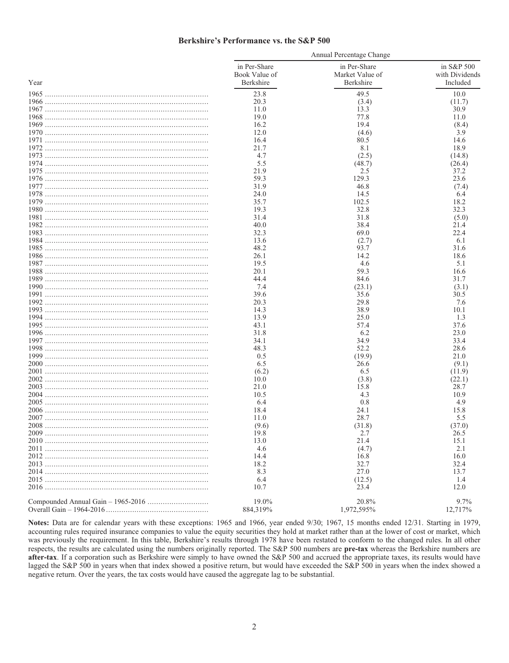### Berkshire's Performance vs. the S&P 500

|      | Annual Percentage Change                   |                                              |                                          |  |
|------|--------------------------------------------|----------------------------------------------|------------------------------------------|--|
| Year | in Per-Share<br>Book Value of<br>Berkshire | in Per-Share<br>Market Value of<br>Berkshire | in S&P 500<br>with Dividends<br>Included |  |
|      | 23.8                                       | 49.5                                         | 10.0                                     |  |
|      | 20.3                                       | (3.4)                                        |                                          |  |
|      | 11.0                                       | 13.3                                         | (11.7)<br>30.9                           |  |
|      | 19.0                                       | 77.8                                         | 11.0                                     |  |
|      | 16.2                                       | 19.4                                         | (8.4)                                    |  |
|      | 12.0                                       | (4.6)                                        | 3.9                                      |  |
|      | 16.4                                       | 80.5                                         | 14.6                                     |  |
|      | 21.7                                       | 8.1                                          | 18.9                                     |  |
|      | 4.7                                        | (2.5)                                        | (14.8)                                   |  |
|      | 5.5                                        | (48.7)                                       |                                          |  |
|      | 21.9                                       | 2.5                                          | (26.4)<br>37.2                           |  |
|      | 59.3                                       | 129.3                                        | 23.6                                     |  |
|      | 31.9                                       | 46.8                                         | (7.4)                                    |  |
|      | 24.0                                       | 14.5                                         | 6.4                                      |  |
|      |                                            | 102.5                                        |                                          |  |
|      | 35.7                                       |                                              | 18.2                                     |  |
|      | 19.3                                       | 32.8                                         | 32.3                                     |  |
|      | 31.4                                       | 31.8                                         | (5.0)                                    |  |
|      | 40.0                                       | 38.4                                         | 21.4                                     |  |
|      | 32.3                                       | 69.0                                         | 22.4                                     |  |
|      | 13.6                                       | (2.7)                                        | 6.1                                      |  |
|      | 48.2                                       | 93.7                                         | 31.6                                     |  |
|      | 26.1                                       | 14.2                                         | 18.6                                     |  |
|      | 19.5                                       | 4.6                                          | 5.1                                      |  |
|      | 20.1                                       | 59.3                                         | 16.6                                     |  |
|      | 44.4                                       | 84.6                                         | 31.7                                     |  |
|      | 7.4                                        | (23.1)                                       | (3.1)                                    |  |
|      | 39.6                                       | 35.6                                         | 30.5                                     |  |
|      | 20.3                                       | 29.8                                         | 7.6                                      |  |
|      | 14.3                                       | 38.9                                         | 10.1                                     |  |
|      | 13.9                                       | 25.0                                         | 1.3                                      |  |
|      | 43.1                                       | 57.4                                         | 37.6                                     |  |
|      | 31.8                                       | 6.2                                          | 23.0                                     |  |
|      | 34.1                                       | 34.9                                         | 33.4                                     |  |
|      | 48.3                                       | 52.2                                         | 28.6                                     |  |
|      | 0.5                                        | (19.9)                                       | 21.0                                     |  |
|      | 6.5                                        | 26.6                                         | (9.1)                                    |  |
|      | (6.2)                                      | 6.5                                          | (11.9)                                   |  |
|      | 10.0                                       | (3.8)                                        | (22.1)                                   |  |
|      | 21.0                                       | 15.8                                         | 28.7                                     |  |
|      | 10.5                                       | 4.3                                          | 10.9                                     |  |
|      | 6.4                                        | 0.8                                          | 4.9                                      |  |
|      | 18.4                                       | 24.1                                         | 15.8                                     |  |
|      | 11.0                                       | 28.7                                         | 5.5                                      |  |
|      | (9.6)                                      | (31.8)                                       | (37.0)                                   |  |
| 2009 | 19.8                                       | 2.7                                          | 26.5                                     |  |
|      | 13.0                                       | 21.4                                         | 15.1                                     |  |
|      | 4.6                                        | (4.7)                                        | 2.1                                      |  |
|      | 14.4                                       | 16.8                                         | 16.0                                     |  |
|      | 18.2                                       | 32.7                                         | 32.4                                     |  |
|      | 8.3                                        | 27.0                                         | 13.7                                     |  |
|      | 6.4                                        | (12.5)                                       | 1.4                                      |  |
|      | 10.7                                       | 23.4                                         | 12.0                                     |  |
|      | 19.0%<br>884,319%                          | 20.8%<br>1,972,595%                          | 9.7%<br>12,717%                          |  |

Notes: Data are for calendar years with these exceptions: 1965 and 1966, year ended 9/30; 1967, 15 months ended 12/31. Starting in 1979, accounting rules required insurance companies to value the equity securities they hold at market rather than at the lower of cost or market, which was previously the requirement. In this table, Berkshire's results through 1978 have been restated to conform to the changed rules. In all other respects, the results are calculated using the numbers originally reported. The S&P 500 numbers are pre-tax whereas the Berkshire numbers are after-tax. If a corporation such as Berkshire were simply to have owned the S&P 500 and accrued the appropriate taxes, its results would have lagged the S&P 500 in years when that index showed a positive return, but would have exceeded the S&P 500 in years when the index showed a negative return. Over the years, the tax costs would have caused the aggregate lag to be substantial.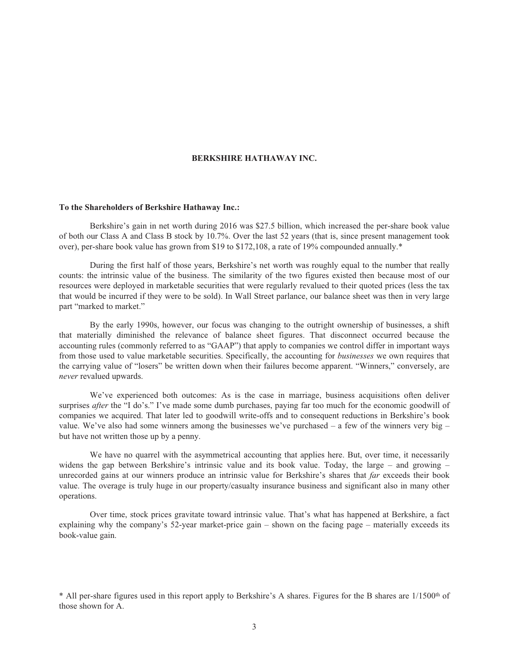## **BERKSHIRE HATHAWAY INC.**

#### **To the Shareholders of Berkshire Hathaway Inc.:**

Berkshire's gain in net worth during 2016 was \$27.5 billion, which increased the per-share book value of both our Class A and Class B stock by 10.7%. Over the last 52 years (that is, since present management took over), per-share book value has grown from \$19 to \$172,108, a rate of 19% compounded annually.\*

During the first half of those years, Berkshire's net worth was roughly equal to the number that really counts: the intrinsic value of the business. The similarity of the two figures existed then because most of our resources were deployed in marketable securities that were regularly revalued to their quoted prices (less the tax that would be incurred if they were to be sold). In Wall Street parlance, our balance sheet was then in very large part "marked to market."

By the early 1990s, however, our focus was changing to the outright ownership of businesses, a shift that materially diminished the relevance of balance sheet figures. That disconnect occurred because the accounting rules (commonly referred to as "GAAP") that apply to companies we control differ in important ways from those used to value marketable securities. Specifically, the accounting for *businesses* we own requires that the carrying value of "losers" be written down when their failures become apparent. "Winners," conversely, are *never* revalued upwards.

We've experienced both outcomes: As is the case in marriage, business acquisitions often deliver surprises *after* the "I do's." I've made some dumb purchases, paying far too much for the economic goodwill of companies we acquired. That later led to goodwill write-offs and to consequent reductions in Berkshire's book value. We've also had some winners among the businesses we've purchased  $-$  a few of the winners very big  $$ but have not written those up by a penny.

We have no quarrel with the asymmetrical accounting that applies here. But, over time, it necessarily widens the gap between Berkshire's intrinsic value and its book value. Today, the large – and growing – unrecorded gains at our winners produce an intrinsic value for Berkshire's shares that *far* exceeds their book value. The overage is truly huge in our property/casualty insurance business and significant also in many other operations.

Over time, stock prices gravitate toward intrinsic value. That's what has happened at Berkshire, a fact explaining why the company's 52-year market-price gain – shown on the facing page – materially exceeds its book-value gain.

\* All per-share figures used in this report apply to Berkshire's A shares. Figures for the B shares are 1/1500th of those shown for A.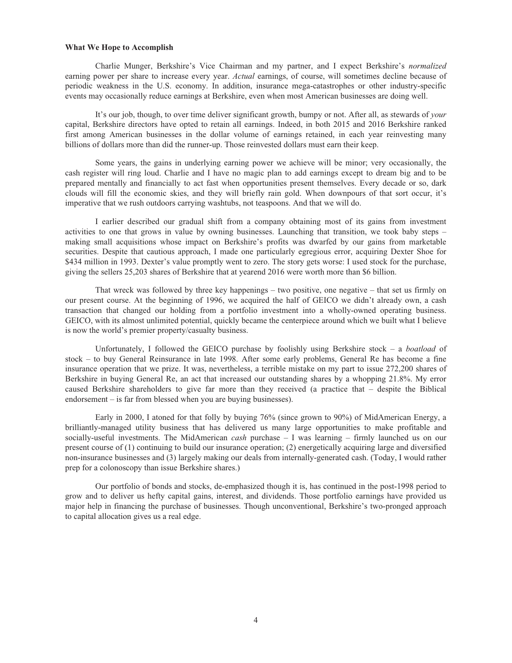### **What We Hope to Accomplish**

Charlie Munger, Berkshire's Vice Chairman and my partner, and I expect Berkshire's *normalized* earning power per share to increase every year. *Actual* earnings, of course, will sometimes decline because of periodic weakness in the U.S. economy. In addition, insurance mega-catastrophes or other industry-specific events may occasionally reduce earnings at Berkshire, even when most American businesses are doing well.

It's our job, though, to over time deliver significant growth, bumpy or not. After all, as stewards of *your* capital, Berkshire directors have opted to retain all earnings. Indeed, in both 2015 and 2016 Berkshire ranked first among American businesses in the dollar volume of earnings retained, in each year reinvesting many billions of dollars more than did the runner-up. Those reinvested dollars must earn their keep.

Some years, the gains in underlying earning power we achieve will be minor; very occasionally, the cash register will ring loud. Charlie and I have no magic plan to add earnings except to dream big and to be prepared mentally and financially to act fast when opportunities present themselves. Every decade or so, dark clouds will fill the economic skies, and they will briefly rain gold. When downpours of that sort occur, it's imperative that we rush outdoors carrying washtubs, not teaspoons. And that we will do.

I earlier described our gradual shift from a company obtaining most of its gains from investment activities to one that grows in value by owning businesses. Launching that transition, we took baby steps – making small acquisitions whose impact on Berkshire's profits was dwarfed by our gains from marketable securities. Despite that cautious approach, I made one particularly egregious error, acquiring Dexter Shoe for \$434 million in 1993. Dexter's value promptly went to zero. The story gets worse: I used stock for the purchase, giving the sellers 25,203 shares of Berkshire that at yearend 2016 were worth more than \$6 billion.

That wreck was followed by three key happenings – two positive, one negative – that set us firmly on our present course. At the beginning of 1996, we acquired the half of GEICO we didn't already own, a cash transaction that changed our holding from a portfolio investment into a wholly-owned operating business. GEICO, with its almost unlimited potential, quickly became the centerpiece around which we built what I believe is now the world's premier property/casualty business.

Unfortunately, I followed the GEICO purchase by foolishly using Berkshire stock – a *boatload* of stock – to buy General Reinsurance in late 1998. After some early problems, General Re has become a fine insurance operation that we prize. It was, nevertheless, a terrible mistake on my part to issue 272,200 shares of Berkshire in buying General Re, an act that increased our outstanding shares by a whopping 21.8%. My error caused Berkshire shareholders to give far more than they received (a practice that – despite the Biblical endorsement – is far from blessed when you are buying businesses).

Early in 2000, I atoned for that folly by buying 76% (since grown to 90%) of MidAmerican Energy, a brilliantly-managed utility business that has delivered us many large opportunities to make profitable and socially-useful investments. The MidAmerican *cash* purchase – I was learning – firmly launched us on our present course of (1) continuing to build our insurance operation; (2) energetically acquiring large and diversified non-insurance businesses and (3) largely making our deals from internally-generated cash. (Today, I would rather prep for a colonoscopy than issue Berkshire shares.)

Our portfolio of bonds and stocks, de-emphasized though it is, has continued in the post-1998 period to grow and to deliver us hefty capital gains, interest, and dividends. Those portfolio earnings have provided us major help in financing the purchase of businesses. Though unconventional, Berkshire's two-pronged approach to capital allocation gives us a real edge.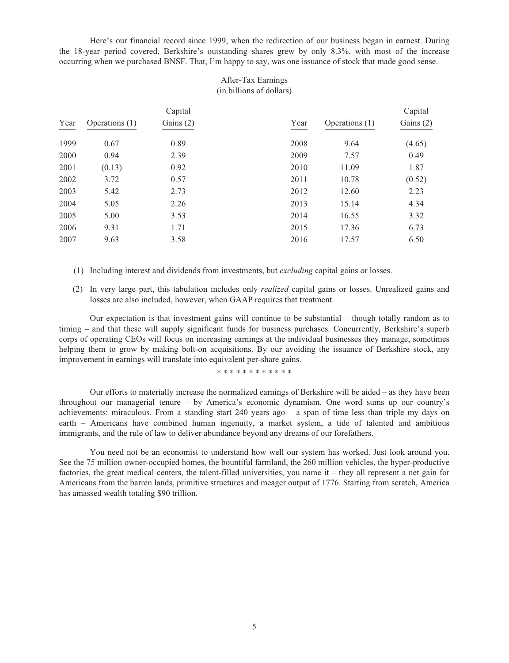Here's our financial record since 1999, when the redirection of our business began in earnest. During the 18-year period covered, Berkshire's outstanding shares grew by only 8.3%, with most of the increase occurring when we purchased BNSF. That, I'm happy to say, was one issuance of stock that made good sense.

# After-Tax Earnings (in billions of dollars)

|      |                | Capital     |      |                | Capital     |
|------|----------------|-------------|------|----------------|-------------|
| Year | Operations (1) | Gains $(2)$ | Year | Operations (1) | Gains $(2)$ |
| 1999 | 0.67           | 0.89        | 2008 | 9.64           | (4.65)      |
| 2000 | 0.94           | 2.39        | 2009 | 7.57           | 0.49        |
| 2001 | (0.13)         | 0.92        | 2010 | 11.09          | 1.87        |
| 2002 | 3.72           | 0.57        | 2011 | 10.78          | (0.52)      |
| 2003 | 5.42           | 2.73        | 2012 | 12.60          | 2.23        |
| 2004 | 5.05           | 2.26        | 2013 | 15.14          | 4.34        |
| 2005 | 5.00           | 3.53        | 2014 | 16.55          | 3.32        |
| 2006 | 9.31           | 1.71        | 2015 | 17.36          | 6.73        |
| 2007 | 9.63           | 3.58        | 2016 | 17.57          | 6.50        |
|      |                |             |      |                |             |

- (1) Including interest and dividends from investments, but *excluding* capital gains or losses.
- (2) In very large part, this tabulation includes only *realized* capital gains or losses. Unrealized gains and losses are also included, however, when GAAP requires that treatment.

Our expectation is that investment gains will continue to be substantial – though totally random as to timing – and that these will supply significant funds for business purchases. Concurrently, Berkshire's superb corps of operating CEOs will focus on increasing earnings at the individual businesses they manage, sometimes helping them to grow by making bolt-on acquisitions. By our avoiding the issuance of Berkshire stock, any improvement in earnings will translate into equivalent per-share gains.

\*\*\*\*\*\*\*\*\*\*\*\*

Our efforts to materially increase the normalized earnings of Berkshire will be aided – as they have been throughout our managerial tenure – by America's economic dynamism. One word sums up our country's achievements: miraculous. From a standing start 240 years ago – a span of time less than triple my days on earth – Americans have combined human ingenuity, a market system, a tide of talented and ambitious immigrants, and the rule of law to deliver abundance beyond any dreams of our forefathers.

You need not be an economist to understand how well our system has worked. Just look around you. See the 75 million owner-occupied homes, the bountiful farmland, the 260 million vehicles, the hyper-productive factories, the great medical centers, the talent-filled universities, you name it – they all represent a net gain for Americans from the barren lands, primitive structures and meager output of 1776. Starting from scratch, America has amassed wealth totaling \$90 trillion.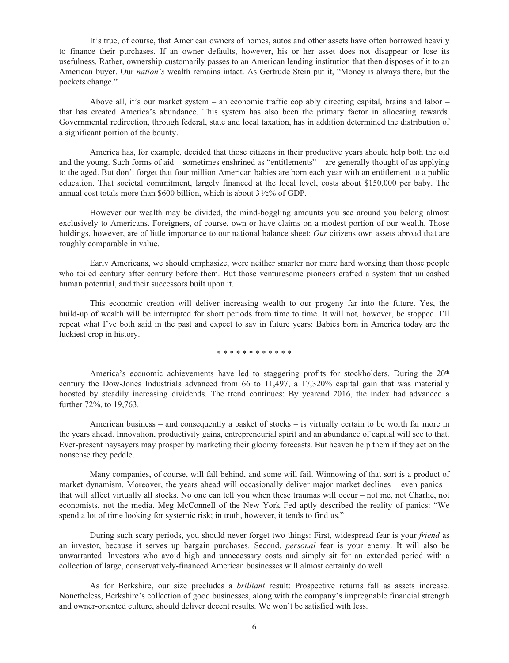It's true, of course, that American owners of homes, autos and other assets have often borrowed heavily to finance their purchases. If an owner defaults, however, his or her asset does not disappear or lose its usefulness. Rather, ownership customarily passes to an American lending institution that then disposes of it to an American buyer. Our *nation's* wealth remains intact. As Gertrude Stein put it, "Money is always there, but the pockets change."

Above all, it's our market system – an economic traffic cop ably directing capital, brains and labor – that has created America's abundance. This system has also been the primary factor in allocating rewards. Governmental redirection, through federal, state and local taxation, has in addition determined the distribution of a significant portion of the bounty.

America has, for example, decided that those citizens in their productive years should help both the old and the young. Such forms of aid – sometimes enshrined as "entitlements" – are generally thought of as applying to the aged. But don't forget that four million American babies are born each year with an entitlement to a public education. That societal commitment, largely financed at the local level, costs about \$150,000 per baby. The annual cost totals more than \$600 billion, which is about  $3\frac{1}{2}\%$  of GDP.

However our wealth may be divided, the mind-boggling amounts you see around you belong almost exclusively to Americans. Foreigners, of course, own or have claims on a modest portion of our wealth. Those holdings, however, are of little importance to our national balance sheet: *Our* citizens own assets abroad that are roughly comparable in value.

Early Americans, we should emphasize, were neither smarter nor more hard working than those people who toiled century after century before them. But those venturesome pioneers crafted a system that unleashed human potential, and their successors built upon it.

This economic creation will deliver increasing wealth to our progeny far into the future. Yes, the build-up of wealth will be interrupted for short periods from time to time. It will not*,* however, be stopped. I'll repeat what I've both said in the past and expect to say in future years: Babies born in America today are the luckiest crop in history.

# \*\*\*\*\*\*\*\*\*\*\*\*

America's economic achievements have led to staggering profits for stockholders. During the 20<sup>th</sup> century the Dow-Jones Industrials advanced from 66 to 11,497, a 17,320% capital gain that was materially boosted by steadily increasing dividends. The trend continues: By yearend 2016, the index had advanced a further 72%, to 19,763.

American business – and consequently a basket of stocks – is virtually certain to be worth far more in the years ahead. Innovation, productivity gains, entrepreneurial spirit and an abundance of capital will see to that. Ever-present naysayers may prosper by marketing their gloomy forecasts. But heaven help them if they act on the nonsense they peddle.

Many companies, of course, will fall behind, and some will fail. Winnowing of that sort is a product of market dynamism. Moreover, the years ahead will occasionally deliver major market declines – even panics – that will affect virtually all stocks. No one can tell you when these traumas will occur – not me, not Charlie, not economists, not the media. Meg McConnell of the New York Fed aptly described the reality of panics: "We spend a lot of time looking for systemic risk; in truth, however, it tends to find us."

During such scary periods, you should never forget two things: First, widespread fear is your *friend* as an investor, because it serves up bargain purchases. Second, *personal* fear is your enemy. It will also be unwarranted. Investors who avoid high and unnecessary costs and simply sit for an extended period with a collection of large, conservatively-financed American businesses will almost certainly do well.

As for Berkshire, our size precludes a *brilliant* result: Prospective returns fall as assets increase. Nonetheless, Berkshire's collection of good businesses, along with the company's impregnable financial strength and owner-oriented culture, should deliver decent results. We won't be satisfied with less.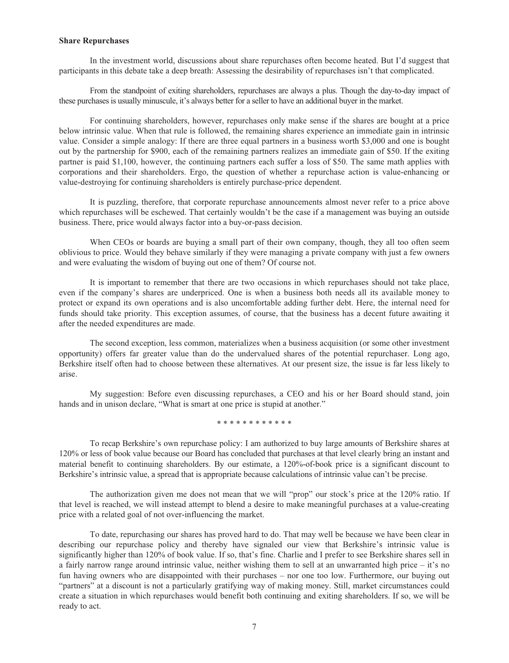### **Share Repurchases**

In the investment world, discussions about share repurchases often become heated. But I'd suggest that participants in this debate take a deep breath: Assessing the desirability of repurchases isn't that complicated.

From the standpoint of exiting shareholders, repurchases are always a plus. Though the day-to-day impact of these purchases is usually minuscule, it's always better for a seller to have an additional buyer in the market.

For continuing shareholders, however, repurchases only make sense if the shares are bought at a price below intrinsic value. When that rule is followed, the remaining shares experience an immediate gain in intrinsic value. Consider a simple analogy: If there are three equal partners in a business worth \$3,000 and one is bought out by the partnership for \$900, each of the remaining partners realizes an immediate gain of \$50. If the exiting partner is paid \$1,100, however, the continuing partners each suffer a loss of \$50. The same math applies with corporations and their shareholders. Ergo, the question of whether a repurchase action is value-enhancing or value-destroying for continuing shareholders is entirely purchase-price dependent.

It is puzzling, therefore, that corporate repurchase announcements almost never refer to a price above which repurchases will be eschewed. That certainly wouldn't be the case if a management was buying an outside business. There, price would always factor into a buy-or-pass decision.

When CEOs or boards are buying a small part of their own company, though, they all too often seem oblivious to price. Would they behave similarly if they were managing a private company with just a few owners and were evaluating the wisdom of buying out one of them? Of course not.

It is important to remember that there are two occasions in which repurchases should not take place, even if the company's shares are underpriced. One is when a business both needs all its available money to protect or expand its own operations and is also uncomfortable adding further debt. Here, the internal need for funds should take priority. This exception assumes, of course, that the business has a decent future awaiting it after the needed expenditures are made.

The second exception, less common, materializes when a business acquisition (or some other investment opportunity) offers far greater value than do the undervalued shares of the potential repurchaser. Long ago, Berkshire itself often had to choose between these alternatives. At our present size, the issue is far less likely to arise.

My suggestion: Before even discussing repurchases, a CEO and his or her Board should stand, join hands and in unison declare, "What is smart at one price is stupid at another."

### \*\*\*\*\*\*\*\*\*\*\*\*

To recap Berkshire's own repurchase policy: I am authorized to buy large amounts of Berkshire shares at 120% or less of book value because our Board has concluded that purchases at that level clearly bring an instant and material benefit to continuing shareholders. By our estimate, a 120%-of-book price is a significant discount to Berkshire's intrinsic value, a spread that is appropriate because calculations of intrinsic value can't be precise.

The authorization given me does not mean that we will "prop" our stock's price at the 120% ratio. If that level is reached, we will instead attempt to blend a desire to make meaningful purchases at a value-creating price with a related goal of not over-influencing the market.

To date, repurchasing our shares has proved hard to do. That may well be because we have been clear in describing our repurchase policy and thereby have signaled our view that Berkshire's intrinsic value is significantly higher than 120% of book value. If so, that's fine. Charlie and I prefer to see Berkshire shares sell in a fairly narrow range around intrinsic value, neither wishing them to sell at an unwarranted high price – it's no fun having owners who are disappointed with their purchases – nor one too low. Furthermore, our buying out "partners" at a discount is not a particularly gratifying way of making money. Still, market circumstances could create a situation in which repurchases would benefit both continuing and exiting shareholders. If so, we will be ready to act.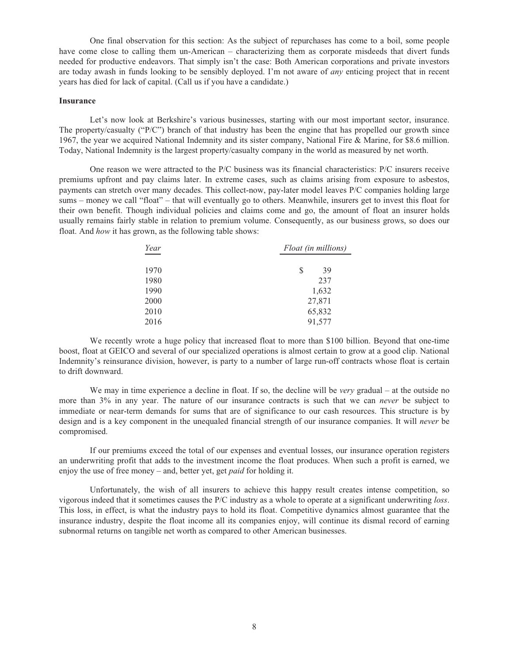One final observation for this section: As the subject of repurchases has come to a boil, some people have come close to calling them un-American – characterizing them as corporate misdeeds that divert funds needed for productive endeavors. That simply isn't the case: Both American corporations and private investors are today awash in funds looking to be sensibly deployed. I'm not aware of *any* enticing project that in recent years has died for lack of capital. (Call us if you have a candidate.)

### **Insurance**

Let's now look at Berkshire's various businesses, starting with our most important sector, insurance. The property/casualty ("P/C") branch of that industry has been the engine that has propelled our growth since 1967, the year we acquired National Indemnity and its sister company, National Fire & Marine, for \$8.6 million. Today, National Indemnity is the largest property/casualty company in the world as measured by net worth.

One reason we were attracted to the P/C business was its financial characteristics: P/C insurers receive premiums upfront and pay claims later. In extreme cases, such as claims arising from exposure to asbestos, payments can stretch over many decades. This collect-now, pay-later model leaves P/C companies holding large sums – money we call "float" – that will eventually go to others. Meanwhile, insurers get to invest this float for their own benefit. Though individual policies and claims come and go, the amount of float an insurer holds usually remains fairly stable in relation to premium volume. Consequently, as our business grows, so does our float. And *how* it has grown, as the following table shows:

| Year | Float (in millions) |
|------|---------------------|
|      |                     |
| 1970 | S<br>39             |
| 1980 | 237                 |
| 1990 | 1,632               |
| 2000 | 27,871              |
| 2010 | 65,832              |
| 2016 | 91,577              |

We recently wrote a huge policy that increased float to more than \$100 billion. Beyond that one-time boost, float at GEICO and several of our specialized operations is almost certain to grow at a good clip. National Indemnity's reinsurance division, however, is party to a number of large run-off contracts whose float is certain to drift downward.

We may in time experience a decline in float. If so, the decline will be *very* gradual – at the outside no more than 3% in any year. The nature of our insurance contracts is such that we can *never* be subject to immediate or near-term demands for sums that are of significance to our cash resources. This structure is by design and is a key component in the unequaled financial strength of our insurance companies. It will *never* be compromised.

If our premiums exceed the total of our expenses and eventual losses, our insurance operation registers an underwriting profit that adds to the investment income the float produces. When such a profit is earned, we enjoy the use of free money – and, better yet, get *paid* for holding it.

Unfortunately, the wish of all insurers to achieve this happy result creates intense competition, so vigorous indeed that it sometimes causes the P/C industry as a whole to operate at a significant underwriting *loss*. This loss, in effect, is what the industry pays to hold its float. Competitive dynamics almost guarantee that the insurance industry, despite the float income all its companies enjoy, will continue its dismal record of earning subnormal returns on tangible net worth as compared to other American businesses.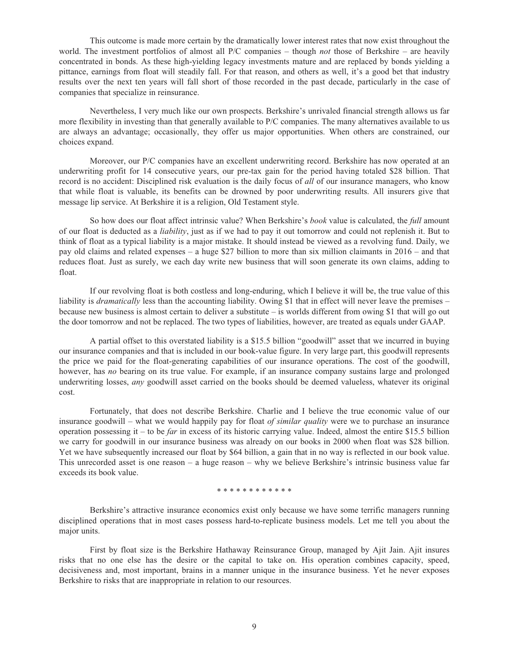This outcome is made more certain by the dramatically lower interest rates that now exist throughout the world. The investment portfolios of almost all P/C companies – though *not* those of Berkshire – are heavily concentrated in bonds. As these high-yielding legacy investments mature and are replaced by bonds yielding a pittance, earnings from float will steadily fall. For that reason, and others as well, it's a good bet that industry results over the next ten years will fall short of those recorded in the past decade, particularly in the case of companies that specialize in reinsurance.

Nevertheless, I very much like our own prospects. Berkshire's unrivaled financial strength allows us far more flexibility in investing than that generally available to P/C companies. The many alternatives available to us are always an advantage; occasionally, they offer us major opportunities. When others are constrained, our choices expand.

Moreover, our P/C companies have an excellent underwriting record. Berkshire has now operated at an underwriting profit for 14 consecutive years, our pre-tax gain for the period having totaled \$28 billion. That record is no accident: Disciplined risk evaluation is the daily focus of *all* of our insurance managers, who know that while float is valuable, its benefits can be drowned by poor underwriting results. All insurers give that message lip service. At Berkshire it is a religion, Old Testament style.

So how does our float affect intrinsic value? When Berkshire's *book* value is calculated, the *full* amount of our float is deducted as a *liability*, just as if we had to pay it out tomorrow and could not replenish it. But to think of float as a typical liability is a major mistake. It should instead be viewed as a revolving fund. Daily, we pay old claims and related expenses – a huge \$27 billion to more than six million claimants in 2016 – and that reduces float. Just as surely, we each day write new business that will soon generate its own claims, adding to float.

If our revolving float is both costless and long-enduring, which I believe it will be, the true value of this liability is *dramatically* less than the accounting liability. Owing \$1 that in effect will never leave the premises – because new business is almost certain to deliver a substitute – is worlds different from owing \$1 that will go out the door tomorrow and not be replaced. The two types of liabilities, however, are treated as equals under GAAP.

A partial offset to this overstated liability is a \$15.5 billion "goodwill" asset that we incurred in buying our insurance companies and that is included in our book-value figure. In very large part, this goodwill represents the price we paid for the float-generating capabilities of our insurance operations. The cost of the goodwill, however, has *no* bearing on its true value. For example, if an insurance company sustains large and prolonged underwriting losses, *any* goodwill asset carried on the books should be deemed valueless, whatever its original cost.

Fortunately, that does not describe Berkshire. Charlie and I believe the true economic value of our insurance goodwill – what we would happily pay for float *of similar quality* were we to purchase an insurance operation possessing it – to be *far* in excess of its historic carrying value. Indeed, almost the entire \$15.5 billion we carry for goodwill in our insurance business was already on our books in 2000 when float was \$28 billion. Yet we have subsequently increased our float by \$64 billion, a gain that in no way is reflected in our book value. This unrecorded asset is one reason – a huge reason – why we believe Berkshire's intrinsic business value far exceeds its book value.

# \*\*\*\*\*\*\*\*\*\*\*\*

Berkshire's attractive insurance economics exist only because we have some terrific managers running disciplined operations that in most cases possess hard-to-replicate business models. Let me tell you about the major units.

First by float size is the Berkshire Hathaway Reinsurance Group, managed by Ajit Jain. Ajit insures risks that no one else has the desire or the capital to take on. His operation combines capacity, speed, decisiveness and, most important, brains in a manner unique in the insurance business. Yet he never exposes Berkshire to risks that are inappropriate in relation to our resources.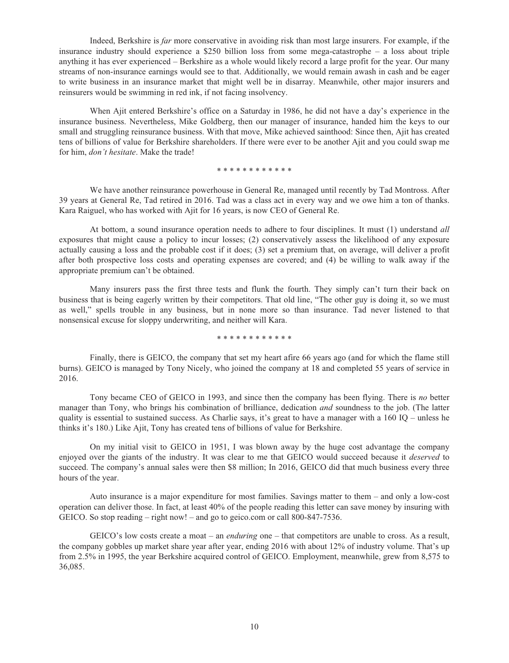Indeed, Berkshire is *far* more conservative in avoiding risk than most large insurers. For example, if the insurance industry should experience a \$250 billion loss from some mega-catastrophe – a loss about triple anything it has ever experienced – Berkshire as a whole would likely record a large profit for the year. Our many streams of non-insurance earnings would see to that. Additionally, we would remain awash in cash and be eager to write business in an insurance market that might well be in disarray. Meanwhile, other major insurers and reinsurers would be swimming in red ink, if not facing insolvency.

When Ajit entered Berkshire's office on a Saturday in 1986, he did not have a day's experience in the insurance business. Nevertheless, Mike Goldberg, then our manager of insurance, handed him the keys to our small and struggling reinsurance business. With that move, Mike achieved sainthood: Since then, Ajit has created tens of billions of value for Berkshire shareholders. If there were ever to be another Ajit and you could swap me for him, *don't hesitate*. Make the trade!

# \*\*\*\*\*\*\*\*\*\*\*\*

We have another reinsurance powerhouse in General Re, managed until recently by Tad Montross. After 39 years at General Re, Tad retired in 2016. Tad was a class act in every way and we owe him a ton of thanks. Kara Raiguel, who has worked with Ajit for 16 years, is now CEO of General Re.

At bottom, a sound insurance operation needs to adhere to four disciplines. It must (1) understand *all* exposures that might cause a policy to incur losses; (2) conservatively assess the likelihood of any exposure actually causing a loss and the probable cost if it does; (3) set a premium that, on average, will deliver a profit after both prospective loss costs and operating expenses are covered; and (4) be willing to walk away if the appropriate premium can't be obtained.

Many insurers pass the first three tests and flunk the fourth. They simply can't turn their back on business that is being eagerly written by their competitors. That old line, "The other guy is doing it, so we must as well," spells trouble in any business, but in none more so than insurance. Tad never listened to that nonsensical excuse for sloppy underwriting, and neither will Kara.

\*\*\*\*\*\*\*\*\*\*\*\*

Finally, there is GEICO, the company that set my heart afire 66 years ago (and for which the flame still burns). GEICO is managed by Tony Nicely, who joined the company at 18 and completed 55 years of service in 2016.

Tony became CEO of GEICO in 1993, and since then the company has been flying. There is *no* better manager than Tony, who brings his combination of brilliance, dedication *and* soundness to the job. (The latter quality is essential to sustained success. As Charlie says, it's great to have a manager with a 160 IQ – unless he thinks it's 180.) Like Ajit, Tony has created tens of billions of value for Berkshire.

On my initial visit to GEICO in 1951, I was blown away by the huge cost advantage the company enjoyed over the giants of the industry. It was clear to me that GEICO would succeed because it *deserved* to succeed. The company's annual sales were then \$8 million; In 2016, GEICO did that much business every three hours of the year.

Auto insurance is a major expenditure for most families. Savings matter to them – and only a low-cost operation can deliver those. In fact, at least 40% of the people reading this letter can save money by insuring with GEICO. So stop reading – right now! – and go to geico.com or call 800-847-7536.

GEICO's low costs create a moat – an *enduring* one – that competitors are unable to cross. As a result, the company gobbles up market share year after year, ending 2016 with about 12% of industry volume. That's up from 2.5% in 1995, the year Berkshire acquired control of GEICO. Employment, meanwhile, grew from 8,575 to 36,085.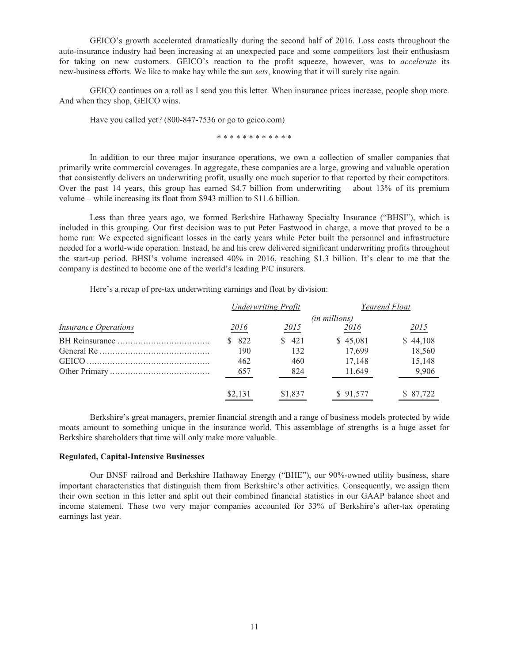GEICO's growth accelerated dramatically during the second half of 2016. Loss costs throughout the auto-insurance industry had been increasing at an unexpected pace and some competitors lost their enthusiasm for taking on new customers. GEICO's reaction to the profit squeeze, however, was to *accelerate* its new-business efforts. We like to make hay while the sun *sets*, knowing that it will surely rise again.

GEICO continues on a roll as I send you this letter. When insurance prices increase, people shop more. And when they shop, GEICO wins.

Have you called yet? (800-847-7536 or go to geico.com)

\*\*\*\*\*\*\*\*\*\*\*\*

In addition to our three major insurance operations, we own a collection of smaller companies that primarily write commercial coverages. In aggregate, these companies are a large, growing and valuable operation that consistently delivers an underwriting profit, usually one much superior to that reported by their competitors. Over the past 14 years, this group has earned \$4.7 billion from underwriting  $-$  about 13% of its premium volume – while increasing its float from \$943 million to \$11.6 billion.

Less than three years ago, we formed Berkshire Hathaway Specialty Insurance ("BHSI"), which is included in this grouping. Our first decision was to put Peter Eastwood in charge, a move that proved to be a home run: We expected significant losses in the early years while Peter built the personnel and infrastructure needed for a world-wide operation. Instead, he and his crew delivered significant underwriting profits throughout the start-up period. BHSI's volume increased 40% in 2016, reaching \$1.3 billion. It's clear to me that the company is destined to become one of the world's leading P/C insurers.

Here's a recap of pre-tax underwriting earnings and float by division:

|                             |         | <b>Underwriting Profit</b> |                              | Yearend Float |  |
|-----------------------------|---------|----------------------------|------------------------------|---------------|--|
| <i>Insurance Operations</i> | 2016    | 2015                       | <i>(in millions)</i><br>2016 | 2015          |  |
|                             | 822     | \$421                      | \$45,081                     | \$44,108      |  |
|                             | 190     | 132                        | 17,699                       | 18,560        |  |
|                             | 462     | 460                        | 17.148                       | 15,148        |  |
|                             | 657     | 824                        | 11,649                       | 9,906         |  |
|                             | \$2,131 | \$1,837                    | \$91,577                     | \$ 87,722     |  |

Berkshire's great managers, premier financial strength and a range of business models protected by wide moats amount to something unique in the insurance world. This assemblage of strengths is a huge asset for Berkshire shareholders that time will only make more valuable.

### **Regulated, Capital-Intensive Businesses**

Our BNSF railroad and Berkshire Hathaway Energy ("BHE"), our 90%-owned utility business, share important characteristics that distinguish them from Berkshire's other activities. Consequently, we assign them their own section in this letter and split out their combined financial statistics in our GAAP balance sheet and income statement. These two very major companies accounted for 33% of Berkshire's after-tax operating earnings last year.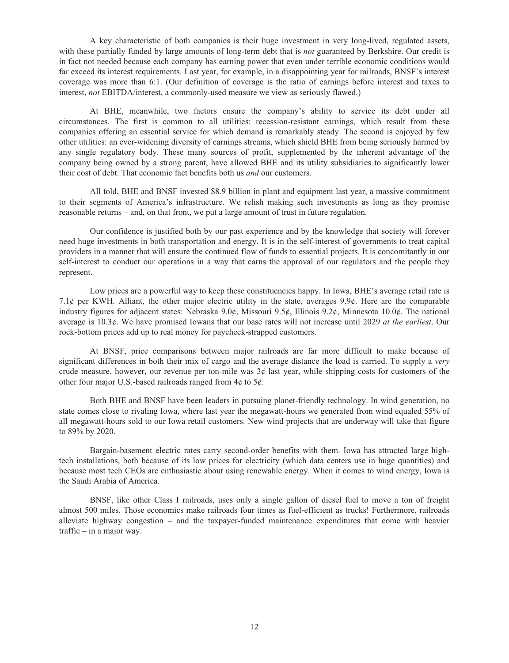A key characteristic of both companies is their huge investment in very long-lived, regulated assets, with these partially funded by large amounts of long-term debt that is *not* guaranteed by Berkshire. Our credit is in fact not needed because each company has earning power that even under terrible economic conditions would far exceed its interest requirements. Last year, for example, in a disappointing year for railroads, BNSF's interest coverage was more than 6:1. (Our definition of coverage is the ratio of earnings before interest and taxes to interest, *not* EBITDA/interest, a commonly-used measure we view as seriously flawed.)

At BHE, meanwhile, two factors ensure the company's ability to service its debt under all circumstances. The first is common to all utilities: recession-resistant earnings, which result from these companies offering an essential service for which demand is remarkably steady. The second is enjoyed by few other utilities: an ever-widening diversity of earnings streams, which shield BHE from being seriously harmed by any single regulatory body. These many sources of profit, supplemented by the inherent advantage of the company being owned by a strong parent, have allowed BHE and its utility subsidiaries to significantly lower their cost of debt. That economic fact benefits both us *and* our customers.

All told, BHE and BNSF invested \$8.9 billion in plant and equipment last year, a massive commitment to their segments of America's infrastructure. We relish making such investments as long as they promise reasonable returns – and, on that front, we put a large amount of trust in future regulation.

Our confidence is justified both by our past experience and by the knowledge that society will forever need huge investments in both transportation and energy. It is in the self-interest of governments to treat capital providers in a manner that will ensure the continued flow of funds to essential projects. It is concomitantly in our self-interest to conduct our operations in a way that earns the approval of our regulators and the people they represent.

Low prices are a powerful way to keep these constituencies happy. In Iowa, BHE's average retail rate is 7.1¢ per KWH. Alliant, the other major electric utility in the state, averages 9.9¢. Here are the comparable industry figures for adjacent states: Nebraska 9.0¢, Missouri 9.5¢, Illinois 9.2¢, Minnesota 10.0¢. The national average is 10.3¢. We have promised Iowans that our base rates will not increase until 2029 *at the earliest*. Our rock-bottom prices add up to real money for paycheck-strapped customers.

At BNSF, price comparisons between major railroads are far more difficult to make because of significant differences in both their mix of cargo and the average distance the load is carried. To supply a *very* crude measure, however, our revenue per ton-mile was  $3¢$  last year, while shipping costs for customers of the other four major U.S.-based railroads ranged from  $4¢$  to  $5¢$ .

Both BHE and BNSF have been leaders in pursuing planet-friendly technology. In wind generation, no state comes close to rivaling Iowa, where last year the megawatt-hours we generated from wind equaled 55% of all megawatt-hours sold to our Iowa retail customers. New wind projects that are underway will take that figure to 89% by 2020.

Bargain-basement electric rates carry second-order benefits with them. Iowa has attracted large hightech installations, both because of its low prices for electricity (which data centers use in huge quantities) and because most tech CEOs are enthusiastic about using renewable energy. When it comes to wind energy, Iowa is the Saudi Arabia of America.

BNSF, like other Class I railroads, uses only a single gallon of diesel fuel to move a ton of freight almost 500 miles. Those economics make railroads four times as fuel-efficient as trucks! Furthermore, railroads alleviate highway congestion – and the taxpayer-funded maintenance expenditures that come with heavier traffic – in a major way.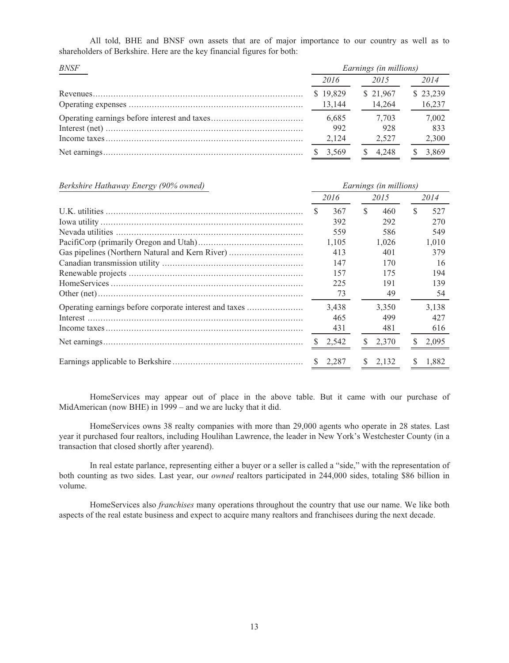All told, BHE and BNSF own assets that are of major importance to our country as well as to shareholders of Berkshire. Here are the key financial figures for both:

| Earnings (in millions)<br><b>BNSF</b> |          |          |          |  |  |
|---------------------------------------|----------|----------|----------|--|--|
|                                       | 2016     | 2015     | 2014     |  |  |
|                                       | \$19,829 | \$21,967 | \$23,239 |  |  |
|                                       | 13,144   | 14.264   | 16,237   |  |  |
|                                       | 6.685    | 7.703    | 7,002    |  |  |
|                                       | 992      | 928      | 833      |  |  |
|                                       | 2.124    | 2.527    | 2,300    |  |  |
|                                       | 3,569    | 4.248    | 3,869    |  |  |

| Berkshire Hathaway Energy (90% owned)                  | Earnings (in millions) |       |   |       |   |       |
|--------------------------------------------------------|------------------------|-------|---|-------|---|-------|
|                                                        |                        | 2016  |   | 2015  |   | 2014  |
|                                                        | S                      | 367   | S | 460   | S | 527   |
|                                                        |                        | 392   |   | 292   |   | 270   |
|                                                        |                        | 559   |   | 586   |   | 549   |
|                                                        |                        | 1.105 |   | 1,026 |   | 1,010 |
|                                                        |                        | 413   |   | 401   |   | 379   |
|                                                        |                        | 147   |   | 170   |   | 16    |
|                                                        |                        | 157   |   | 175   |   | 194   |
|                                                        |                        | 225   |   | 191   |   | 139   |
|                                                        |                        | 73    |   | 49    |   | 54    |
| Operating earnings before corporate interest and taxes |                        | 3,438 |   | 3.350 |   | 3.138 |
|                                                        |                        | 465   |   | 499   |   | 427   |
|                                                        |                        | 431   |   | 481   |   | 616   |
|                                                        | S.                     | 2,542 |   | 2,370 |   | 2,095 |
|                                                        | S.                     | 2,287 | S | 2,132 | S | 1,882 |

HomeServices may appear out of place in the above table. But it came with our purchase of MidAmerican (now BHE) in 1999 – and we are lucky that it did.

HomeServices owns 38 realty companies with more than 29,000 agents who operate in 28 states. Last year it purchased four realtors, including Houlihan Lawrence, the leader in New York's Westchester County (in a transaction that closed shortly after yearend).

In real estate parlance, representing either a buyer or a seller is called a "side," with the representation of both counting as two sides. Last year, our *owned* realtors participated in 244,000 sides, totaling \$86 billion in volume.

HomeServices also *franchises* many operations throughout the country that use our name. We like both aspects of the real estate business and expect to acquire many realtors and franchisees during the next decade.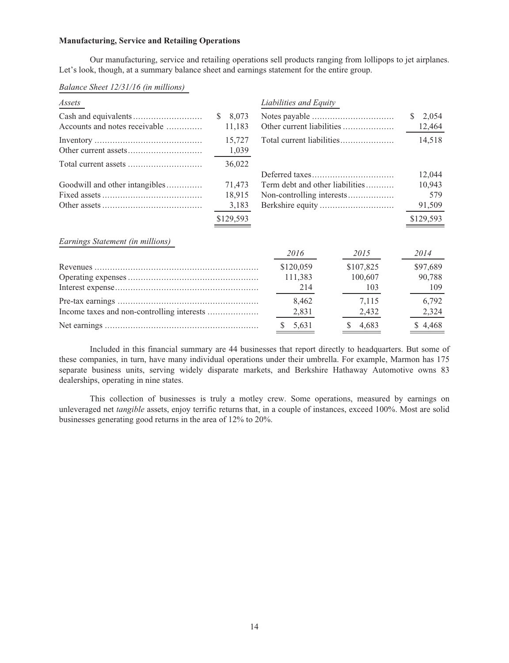# **Manufacturing, Service and Retailing Operations**

Our manufacturing, service and retailing operations sell products ranging from lollipops to jet airplanes. Let's look, though, at a summary balance sheet and earnings statement for the entire group.

|  |  | Balance Sheet 12/31/16 (in millions) |  |  |
|--|--|--------------------------------------|--|--|
|--|--|--------------------------------------|--|--|

| Assets                           |                       | Liabilities and Equity          |              |                      |
|----------------------------------|-----------------------|---------------------------------|--------------|----------------------|
| Accounts and notes receivable    | 8,073<br>S.<br>11,183 |                                 |              | S<br>2,054<br>12,464 |
|                                  | 15,727<br>1,039       |                                 |              | 14,518               |
|                                  | 36,022                |                                 |              | 12,044               |
| Goodwill and other intangibles   | 71,473                | Term debt and other liabilities | 10,943       |                      |
|                                  | 18,915                | Non-controlling interests       | 579          |                      |
|                                  | 3,183                 |                                 | 91,509       |                      |
|                                  | \$129,593             |                                 |              | \$129,593            |
| Earnings Statement (in millions) |                       |                                 |              |                      |
|                                  |                       | 2016                            | 2015         | 2014                 |
|                                  |                       | \$120,059                       | \$107,825    | \$97,689             |
|                                  |                       | 111,383                         | 100,607      | 90,788               |
|                                  |                       | 214                             | 103          | 109                  |
|                                  |                       | 8,462                           | 7,115        | 6,792                |
|                                  |                       | 2,831                           | 2,432        | 2,324                |
|                                  |                       | 5,631<br>S                      | 4,683<br>\$. | \$4,468              |

Included in this financial summary are 44 businesses that report directly to headquarters. But some of these companies, in turn, have many individual operations under their umbrella. For example, Marmon has 175 separate business units, serving widely disparate markets, and Berkshire Hathaway Automotive owns 83 dealerships, operating in nine states.

This collection of businesses is truly a motley crew. Some operations, measured by earnings on unleveraged net *tangible* assets, enjoy terrific returns that, in a couple of instances, exceed 100%. Most are solid businesses generating good returns in the area of 12% to 20%.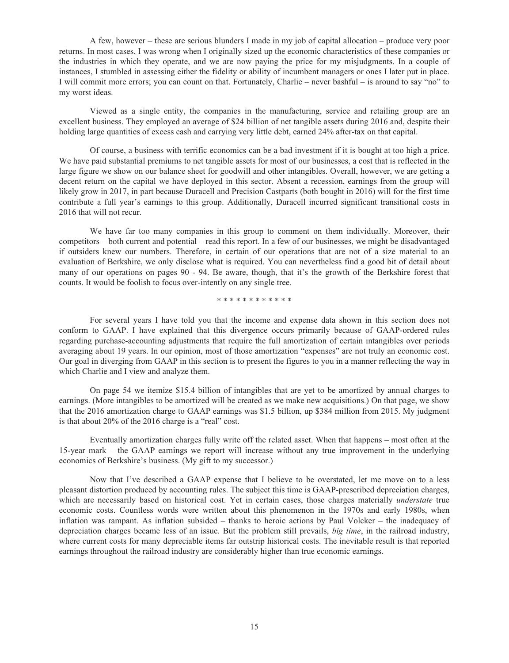A few, however – these are serious blunders I made in my job of capital allocation – produce very poor returns. In most cases, I was wrong when I originally sized up the economic characteristics of these companies or the industries in which they operate, and we are now paying the price for my misjudgments. In a couple of instances, I stumbled in assessing either the fidelity or ability of incumbent managers or ones I later put in place. I will commit more errors; you can count on that. Fortunately, Charlie – never bashful – is around to say "no" to my worst ideas.

Viewed as a single entity, the companies in the manufacturing, service and retailing group are an excellent business. They employed an average of \$24 billion of net tangible assets during 2016 and, despite their holding large quantities of excess cash and carrying very little debt, earned 24% after-tax on that capital.

Of course, a business with terrific economics can be a bad investment if it is bought at too high a price. We have paid substantial premiums to net tangible assets for most of our businesses, a cost that is reflected in the large figure we show on our balance sheet for goodwill and other intangibles. Overall, however, we are getting a decent return on the capital we have deployed in this sector. Absent a recession, earnings from the group will likely grow in 2017, in part because Duracell and Precision Castparts (both bought in 2016) will for the first time contribute a full year's earnings to this group. Additionally, Duracell incurred significant transitional costs in 2016 that will not recur.

We have far too many companies in this group to comment on them individually. Moreover, their competitors – both current and potential – read this report. In a few of our businesses, we might be disadvantaged if outsiders knew our numbers. Therefore, in certain of our operations that are not of a size material to an evaluation of Berkshire, we only disclose what is required. You can nevertheless find a good bit of detail about many of our operations on pages 90 - 94. Be aware, though, that it's the growth of the Berkshire forest that counts. It would be foolish to focus over-intently on any single tree.

\*\*\*\*\*\*\*\*\*\*\*\*

For several years I have told you that the income and expense data shown in this section does not conform to GAAP. I have explained that this divergence occurs primarily because of GAAP-ordered rules regarding purchase-accounting adjustments that require the full amortization of certain intangibles over periods averaging about 19 years. In our opinion, most of those amortization "expenses" are not truly an economic cost. Our goal in diverging from GAAP in this section is to present the figures to you in a manner reflecting the way in which Charlie and I view and analyze them.

On page 54 we itemize \$15.4 billion of intangibles that are yet to be amortized by annual charges to earnings. (More intangibles to be amortized will be created as we make new acquisitions.) On that page, we show that the 2016 amortization charge to GAAP earnings was \$1.5 billion, up \$384 million from 2015. My judgment is that about 20% of the 2016 charge is a "real" cost.

Eventually amortization charges fully write off the related asset. When that happens – most often at the 15-year mark – the GAAP earnings we report will increase without any true improvement in the underlying economics of Berkshire's business. (My gift to my successor.)

Now that I've described a GAAP expense that I believe to be overstated, let me move on to a less pleasant distortion produced by accounting rules. The subject this time is GAAP-prescribed depreciation charges, which are necessarily based on historical cost. Yet in certain cases, those charges materially *understate* true economic costs. Countless words were written about this phenomenon in the 1970s and early 1980s, when inflation was rampant. As inflation subsided – thanks to heroic actions by Paul Volcker – the inadequacy of depreciation charges became less of an issue. But the problem still prevails, *big time*, in the railroad industry, where current costs for many depreciable items far outstrip historical costs. The inevitable result is that reported earnings throughout the railroad industry are considerably higher than true economic earnings.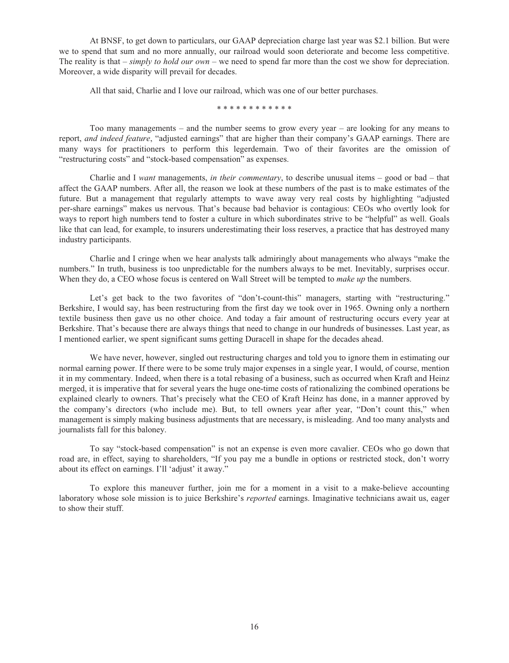At BNSF, to get down to particulars, our GAAP depreciation charge last year was \$2.1 billion. But were we to spend that sum and no more annually, our railroad would soon deteriorate and become less competitive. The reality is that – *simply to hold our own* – we need to spend far more than the cost we show for depreciation. Moreover, a wide disparity will prevail for decades.

All that said, Charlie and I love our railroad, which was one of our better purchases.

\*\*\*\*\*\*\*\*\*\*

Too many managements – and the number seems to grow every year – are looking for any means to report, *and indeed feature*, "adjusted earnings" that are higher than their company's GAAP earnings. There are many ways for practitioners to perform this legerdemain. Two of their favorites are the omission of "restructuring costs" and "stock-based compensation" as expenses.

Charlie and I *want* managements, *in their commentary*, to describe unusual items – good or bad – that affect the GAAP numbers. After all, the reason we look at these numbers of the past is to make estimates of the future. But a management that regularly attempts to wave away very real costs by highlighting "adjusted per-share earnings" makes us nervous. That's because bad behavior is contagious: CEOs who overtly look for ways to report high numbers tend to foster a culture in which subordinates strive to be "helpful" as well. Goals like that can lead, for example, to insurers underestimating their loss reserves, a practice that has destroyed many industry participants.

Charlie and I cringe when we hear analysts talk admiringly about managements who always "make the numbers." In truth, business is too unpredictable for the numbers always to be met. Inevitably, surprises occur. When they do, a CEO whose focus is centered on Wall Street will be tempted to *make up* the numbers.

Let's get back to the two favorites of "don't-count-this" managers, starting with "restructuring." Berkshire, I would say, has been restructuring from the first day we took over in 1965. Owning only a northern textile business then gave us no other choice. And today a fair amount of restructuring occurs every year at Berkshire. That's because there are always things that need to change in our hundreds of businesses. Last year, as I mentioned earlier, we spent significant sums getting Duracell in shape for the decades ahead.

We have never, however, singled out restructuring charges and told you to ignore them in estimating our normal earning power. If there were to be some truly major expenses in a single year, I would, of course, mention it in my commentary. Indeed, when there is a total rebasing of a business, such as occurred when Kraft and Heinz merged, it is imperative that for several years the huge one-time costs of rationalizing the combined operations be explained clearly to owners. That's precisely what the CEO of Kraft Heinz has done, in a manner approved by the company's directors (who include me). But, to tell owners year after year, "Don't count this," when management is simply making business adjustments that are necessary, is misleading. And too many analysts and journalists fall for this baloney.

To say "stock-based compensation" is not an expense is even more cavalier. CEOs who go down that road are, in effect, saying to shareholders, "If you pay me a bundle in options or restricted stock, don't worry about its effect on earnings. I'll 'adjust' it away."

To explore this maneuver further, join me for a moment in a visit to a make-believe accounting laboratory whose sole mission is to juice Berkshire's *reported* earnings. Imaginative technicians await us, eager to show their stuff.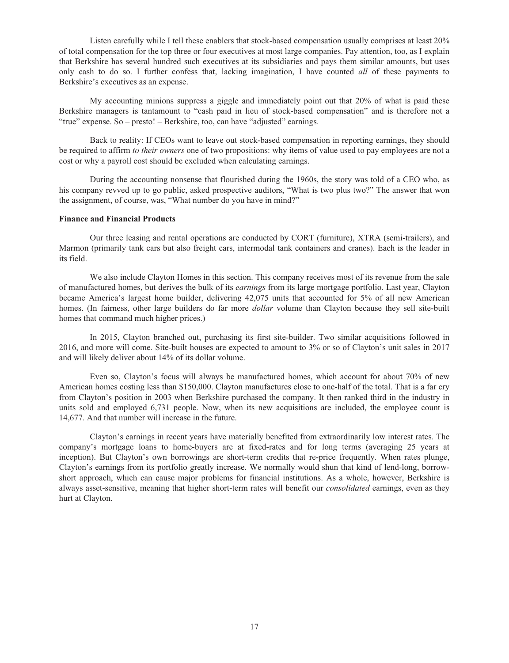Listen carefully while I tell these enablers that stock-based compensation usually comprises at least 20% of total compensation for the top three or four executives at most large companies. Pay attention, too, as I explain that Berkshire has several hundred such executives at its subsidiaries and pays them similar amounts, but uses only cash to do so. I further confess that, lacking imagination, I have counted *all* of these payments to Berkshire's executives as an expense.

My accounting minions suppress a giggle and immediately point out that 20% of what is paid these Berkshire managers is tantamount to "cash paid in lieu of stock-based compensation" and is therefore not a "true" expense. So – presto! – Berkshire, too, can have "adjusted" earnings.

Back to reality: If CEOs want to leave out stock-based compensation in reporting earnings, they should be required to affirm *to their owners* one of two propositions: why items of value used to pay employees are not a cost or why a payroll cost should be excluded when calculating earnings.

During the accounting nonsense that flourished during the 1960s, the story was told of a CEO who, as his company revved up to go public, asked prospective auditors, "What is two plus two?" The answer that won the assignment, of course, was, "What number do you have in mind?"

### **Finance and Financial Products**

Our three leasing and rental operations are conducted by CORT (furniture), XTRA (semi-trailers), and Marmon (primarily tank cars but also freight cars, intermodal tank containers and cranes). Each is the leader in its field.

We also include Clayton Homes in this section. This company receives most of its revenue from the sale of manufactured homes, but derives the bulk of its *earnings* from its large mortgage portfolio. Last year, Clayton became America's largest home builder, delivering 42,075 units that accounted for 5% of all new American homes. (In fairness, other large builders do far more *dollar* volume than Clayton because they sell site-built homes that command much higher prices.)

In 2015, Clayton branched out, purchasing its first site-builder. Two similar acquisitions followed in 2016, and more will come. Site-built houses are expected to amount to 3% or so of Clayton's unit sales in 2017 and will likely deliver about 14% of its dollar volume.

Even so, Clayton's focus will always be manufactured homes, which account for about 70% of new American homes costing less than \$150,000. Clayton manufactures close to one-half of the total. That is a far cry from Clayton's position in 2003 when Berkshire purchased the company. It then ranked third in the industry in units sold and employed 6,731 people. Now, when its new acquisitions are included, the employee count is 14,677. And that number will increase in the future.

Clayton's earnings in recent years have materially benefited from extraordinarily low interest rates. The company's mortgage loans to home-buyers are at fixed-rates and for long terms (averaging 25 years at inception). But Clayton's own borrowings are short-term credits that re-price frequently. When rates plunge, Clayton's earnings from its portfolio greatly increase. We normally would shun that kind of lend-long, borrowshort approach, which can cause major problems for financial institutions. As a whole, however, Berkshire is always asset-sensitive, meaning that higher short-term rates will benefit our *consolidated* earnings, even as they hurt at Clayton.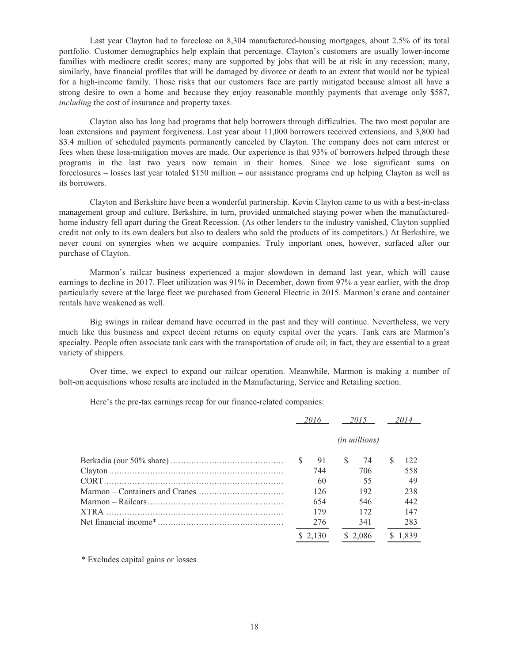Last year Clayton had to foreclose on 8,304 manufactured-housing mortgages, about 2.5% of its total portfolio. Customer demographics help explain that percentage. Clayton's customers are usually lower-income families with mediocre credit scores; many are supported by jobs that will be at risk in any recession; many, similarly, have financial profiles that will be damaged by divorce or death to an extent that would not be typical for a high-income family. Those risks that our customers face are partly mitigated because almost all have a strong desire to own a home and because they enjoy reasonable monthly payments that average only \$587, *including* the cost of insurance and property taxes.

Clayton also has long had programs that help borrowers through difficulties. The two most popular are loan extensions and payment forgiveness. Last year about 11,000 borrowers received extensions, and 3,800 had \$3.4 million of scheduled payments permanently canceled by Clayton. The company does not earn interest or fees when these loss-mitigation moves are made. Our experience is that 93% of borrowers helped through these programs in the last two years now remain in their homes. Since we lose significant sums on foreclosures – losses last year totaled \$150 million – our assistance programs end up helping Clayton as well as its borrowers.

Clayton and Berkshire have been a wonderful partnership. Kevin Clayton came to us with a best-in-class management group and culture. Berkshire, in turn, provided unmatched staying power when the manufacturedhome industry fell apart during the Great Recession. (As other lenders to the industry vanished, Clayton supplied credit not only to its own dealers but also to dealers who sold the products of its competitors.) At Berkshire, we never count on synergies when we acquire companies. Truly important ones, however, surfaced after our purchase of Clayton.

Marmon's railcar business experienced a major slowdown in demand last year, which will cause earnings to decline in 2017. Fleet utilization was 91% in December, down from 97% a year earlier, with the drop particularly severe at the large fleet we purchased from General Electric in 2015. Marmon's crane and container rentals have weakened as well.

Big swings in railcar demand have occurred in the past and they will continue. Nevertheless, we very much like this business and expect decent returns on equity capital over the years. Tank cars are Marmon's specialty. People often associate tank cars with the transportation of crude oil; in fact, they are essential to a great variety of shippers.

Over time, we expect to expand our railcar operation. Meanwhile, Marmon is making a number of bolt-on acquisitions whose results are included in the Manufacturing, Service and Retailing section.

Here's the pre-tax earnings recap for our finance-related companies:

| 2016 |         |              | 2015                 |   | 2014    |
|------|---------|--------------|----------------------|---|---------|
|      |         |              | <i>(in millions)</i> |   |         |
|      | -91     | <sup>S</sup> | 74                   | S | 122     |
|      | 744     |              | 706                  |   | 558     |
|      | 60      |              | 55                   |   | 49      |
|      | 126     |              | 192                  |   | 238     |
|      | 654     |              | 546                  |   | 442     |
|      | 179     |              | 172                  |   | 147     |
|      | 276     |              | 341                  |   | 283     |
|      | \$2,130 |              | \$ 2,086             |   | \$1.839 |

\* Excludes capital gains or losses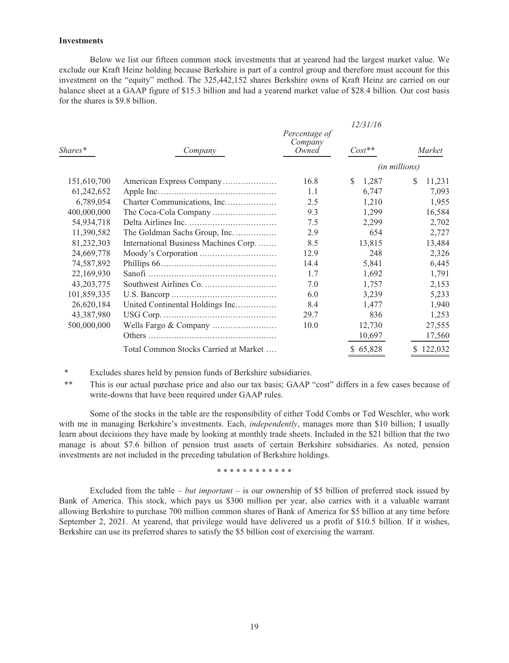## **Investments**

Below we list our fifteen common stock investments that at yearend had the largest market value. We exclude our Kraft Heinz holding because Berkshire is part of a control group and therefore must account for this investment on the "equity" method. The 325,442,152 shares Berkshire owns of Kraft Heinz are carried on our balance sheet at a GAAP figure of \$15.3 billion and had a yearend market value of \$28.4 billion. Our cost basis for the shares is \$9.8 billion.

|              |                                       |                                   |   | 12/31/16 |               |           |
|--------------|---------------------------------------|-----------------------------------|---|----------|---------------|-----------|
| Shares*      | Company                               | Percentage of<br>Company<br>Owned |   | $Cost**$ |               | Market    |
|              |                                       |                                   |   |          | (in millions) |           |
| 151,610,700  |                                       | 16.8                              | S | 1,287    | \$            | 11,231    |
| 61,242,652   |                                       | 1.1                               |   | 6,747    |               | 7,093     |
| 6,789,054    |                                       | 2.5                               |   | 1,210    |               | 1,955     |
| 400,000,000  |                                       | 9.3                               |   | 1,299    |               | 16,584    |
| 54,934,718   |                                       | 7.5                               |   | 2,299    |               | 2,702     |
| 11,390,582   | The Goldman Sachs Group, Inc.         | 2.9                               |   | 654      |               | 2,727     |
| 81,232,303   | International Business Machines Corp. | 8.5                               |   | 13,815   |               | 13,484    |
| 24,669,778   |                                       | 12.9                              |   | 248      |               | 2,326     |
| 74,587,892   |                                       | 14.4                              |   | 5,841    |               | 6,445     |
| 22,169,930   |                                       | 1.7                               |   | 1,692    |               | 1,791     |
| 43, 203, 775 |                                       | 7.0                               |   | 1,757    |               | 2,153     |
| 101,859,335  |                                       | 6.0                               |   | 3,239    |               | 5,233     |
| 26,620,184   | United Continental Holdings Inc       | 8.4                               |   | 1,477    |               | 1,940     |
| 43,387,980   |                                       | 29.7                              |   | 836      |               | 1,253     |
| 500,000,000  |                                       | 10.0                              |   | 12,730   |               | 27,555    |
|              |                                       |                                   |   | 10,697   |               | 17,560    |
|              | Total Common Stocks Carried at Market |                                   |   | \$65,828 |               | \$122,032 |

\* Excludes shares held by pension funds of Berkshire subsidiaries.

\*\* This is our actual purchase price and also our tax basis; GAAP "cost" differs in a few cases because of write-downs that have been required under GAAP rules.

Some of the stocks in the table are the responsibility of either Todd Combs or Ted Weschler, who work with me in managing Berkshire's investments. Each, *independently*, manages more than \$10 billion; I usually learn about decisions they have made by looking at monthly trade sheets. Included in the \$21 billion that the two manage is about \$7.6 billion of pension trust assets of certain Berkshire subsidiaries. As noted, pension investments are not included in the preceding tabulation of Berkshire holdings.

# \*\*\*\*\*\*\*\*\*\*\*\*

Excluded from the table – *but important* – is our ownership of \$5 billion of preferred stock issued by Bank of America. This stock, which pays us \$300 million per year, also carries with it a valuable warrant allowing Berkshire to purchase 700 million common shares of Bank of America for \$5 billion at any time before September 2, 2021. At yearend, that privilege would have delivered us a profit of \$10.5 billion. If it wishes, Berkshire can use its preferred shares to satisfy the \$5 billion cost of exercising the warrant.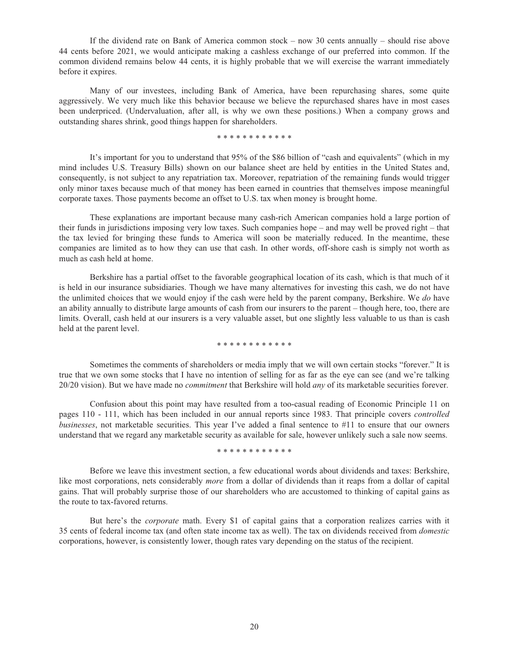If the dividend rate on Bank of America common stock – now 30 cents annually – should rise above 44 cents before 2021, we would anticipate making a cashless exchange of our preferred into common. If the common dividend remains below 44 cents, it is highly probable that we will exercise the warrant immediately before it expires.

Many of our investees, including Bank of America, have been repurchasing shares, some quite aggressively. We very much like this behavior because we believe the repurchased shares have in most cases been underpriced. (Undervaluation, after all, is why we own these positions.) When a company grows and outstanding shares shrink, good things happen for shareholders.

\*\*\*\*\*\*\*\*\*\*\*\*

It's important for you to understand that 95% of the \$86 billion of "cash and equivalents" (which in my mind includes U.S. Treasury Bills) shown on our balance sheet are held by entities in the United States and, consequently, is not subject to any repatriation tax. Moreover, repatriation of the remaining funds would trigger only minor taxes because much of that money has been earned in countries that themselves impose meaningful corporate taxes. Those payments become an offset to U.S. tax when money is brought home.

These explanations are important because many cash-rich American companies hold a large portion of their funds in jurisdictions imposing very low taxes. Such companies hope – and may well be proved right – that the tax levied for bringing these funds to America will soon be materially reduced. In the meantime, these companies are limited as to how they can use that cash. In other words, off-shore cash is simply not worth as much as cash held at home.

Berkshire has a partial offset to the favorable geographical location of its cash, which is that much of it is held in our insurance subsidiaries. Though we have many alternatives for investing this cash, we do not have the unlimited choices that we would enjoy if the cash were held by the parent company, Berkshire. We *do* have an ability annually to distribute large amounts of cash from our insurers to the parent – though here, too, there are limits. Overall, cash held at our insurers is a very valuable asset, but one slightly less valuable to us than is cash held at the parent level.

\*\*\*\*\*\*\*\*\*\*

Sometimes the comments of shareholders or media imply that we will own certain stocks "forever." It is true that we own some stocks that I have no intention of selling for as far as the eye can see (and we're talking 20/20 vision). But we have made no *commitment* that Berkshire will hold *any* of its marketable securities forever.

Confusion about this point may have resulted from a too-casual reading of Economic Principle 11 on pages 110 - 111, which has been included in our annual reports since 1983. That principle covers *controlled businesses*, not marketable securities. This year I've added a final sentence to #11 to ensure that our owners understand that we regard any marketable security as available for sale, however unlikely such a sale now seems.

\*\*\*\*\*\*\*\*\*\*\*\*

Before we leave this investment section, a few educational words about dividends and taxes: Berkshire, like most corporations, nets considerably *more* from a dollar of dividends than it reaps from a dollar of capital gains. That will probably surprise those of our shareholders who are accustomed to thinking of capital gains as the route to tax-favored returns.

But here's the *corporate* math. Every \$1 of capital gains that a corporation realizes carries with it 35 cents of federal income tax (and often state income tax as well). The tax on dividends received from *domestic* corporations, however, is consistently lower, though rates vary depending on the status of the recipient.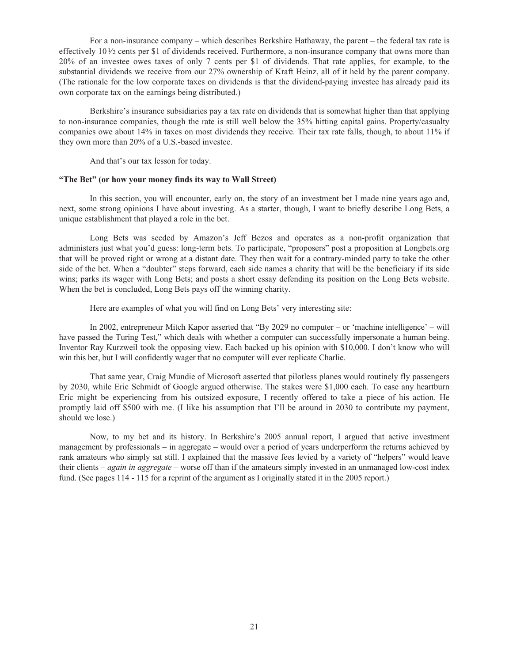For a non-insurance company – which describes Berkshire Hathaway, the parent – the federal tax rate is effectively  $10\frac{1}{2}$  cents per \$1 of dividends received. Furthermore, a non-insurance company that owns more than 20% of an investee owes taxes of only 7 cents per \$1 of dividends. That rate applies, for example, to the substantial dividends we receive from our 27% ownership of Kraft Heinz, all of it held by the parent company. (The rationale for the low corporate taxes on dividends is that the dividend-paying investee has already paid its own corporate tax on the earnings being distributed.)

Berkshire's insurance subsidiaries pay a tax rate on dividends that is somewhat higher than that applying to non-insurance companies, though the rate is still well below the 35% hitting capital gains. Property/casualty companies owe about 14% in taxes on most dividends they receive. Their tax rate falls, though, to about 11% if they own more than 20% of a U.S.-based investee.

And that's our tax lesson for today.

## **"The Bet" (or how your money finds its way to Wall Street)**

In this section, you will encounter, early on, the story of an investment bet I made nine years ago and, next, some strong opinions I have about investing. As a starter, though, I want to briefly describe Long Bets, a unique establishment that played a role in the bet.

Long Bets was seeded by Amazon's Jeff Bezos and operates as a non-profit organization that administers just what you'd guess: long-term bets. To participate, "proposers" post a proposition at Longbets.org that will be proved right or wrong at a distant date. They then wait for a contrary-minded party to take the other side of the bet. When a "doubter" steps forward, each side names a charity that will be the beneficiary if its side wins; parks its wager with Long Bets; and posts a short essay defending its position on the Long Bets website. When the bet is concluded, Long Bets pays off the winning charity.

Here are examples of what you will find on Long Bets' very interesting site:

In 2002, entrepreneur Mitch Kapor asserted that "By 2029 no computer – or 'machine intelligence' – will have passed the Turing Test," which deals with whether a computer can successfully impersonate a human being. Inventor Ray Kurzweil took the opposing view. Each backed up his opinion with \$10,000. I don't know who will win this bet, but I will confidently wager that no computer will ever replicate Charlie.

That same year, Craig Mundie of Microsoft asserted that pilotless planes would routinely fly passengers by 2030, while Eric Schmidt of Google argued otherwise. The stakes were \$1,000 each. To ease any heartburn Eric might be experiencing from his outsized exposure, I recently offered to take a piece of his action. He promptly laid off \$500 with me. (I like his assumption that I'll be around in 2030 to contribute my payment, should we lose.)

Now, to my bet and its history. In Berkshire's 2005 annual report, I argued that active investment management by professionals – in aggregate – would over a period of years underperform the returns achieved by rank amateurs who simply sat still. I explained that the massive fees levied by a variety of "helpers" would leave their clients – *again in aggregate* – worse off than if the amateurs simply invested in an unmanaged low-cost index fund. (See pages 114 - 115 for a reprint of the argument as I originally stated it in the 2005 report.)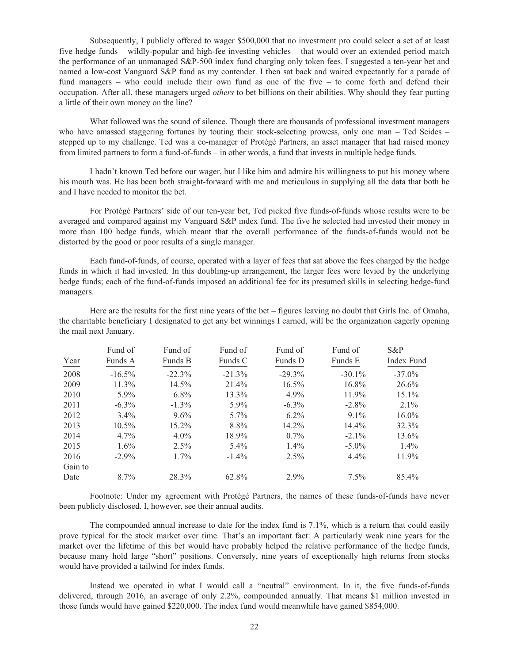Subsequently, I publicly offered to wager \$500,000 that no investment pro could select a set of at least five hedge funds – wildly-popular and high-fee investing vehicles – that would over an extended period match the performance of an unmanaged S&P-500 index fund charging only token fees. I suggested a ten-year bet and named a low-cost Vanguard S&P fund as my contender. I then sat back and waited expectantly for a parade of fund managers – who could include their own fund as one of the five – to come forth and defend their occupation. After all, these managers urged *others* to bet billions on their abilities. Why should they fear putting a little of their own money on the line?

What followed was the sound of silence. Though there are thousands of professional investment managers who have amassed staggering fortunes by touting their stock-selecting prowess, only one man – Ted Seides – stepped up to my challenge. Ted was a co-manager of Protégé Partners, an asset manager that had raised money from limited partners to form a fund-of-funds – in other words, a fund that invests in multiple hedge funds.

I hadn't known Ted before our wager, but I like him and admire his willingness to put his money where his mouth was. He has been both straight-forward with me and meticulous in supplying all the data that both he and I have needed to monitor the bet.

For Protégé Partners' side of our ten-year bet, Ted picked five funds-of-funds whose results were to be averaged and compared against my Vanguard S&P index fund. The five he selected had invested their money in more than 100 hedge funds, which meant that the overall performance of the funds-of-funds would not be distorted by the good or poor results of a single manager.

Each fund-of-funds, of course, operated with a layer of fees that sat above the fees charged by the hedge funds in which it had invested. In this doubling-up arrangement, the larger fees were levied by the underlying hedge funds; each of the fund-of-funds imposed an additional fee for its presumed skills in selecting hedge-fund managers.

Here are the results for the first nine years of the bet – figures leaving no doubt that Girls Inc. of Omaha, the charitable beneficiary I designated to get any bet winnings I earned, will be the organization eagerly opening the mail next January.

|         | Fund of   | Fund of  | Fund of  | Fund of   | Fund of   | $S\&P$     |
|---------|-----------|----------|----------|-----------|-----------|------------|
| Year    | Funds A   | Funds B  | Funds C  | Funds D   | Funds E   | Index Fund |
| 2008    | $-16.5\%$ | $-22.3%$ | $-21.3%$ | $-29.3\%$ | $-30.1\%$ | $-37.0\%$  |
| 2009    | $11.3\%$  | 14.5%    | 21.4%    | $16.5\%$  | $16.8\%$  | 26.6%      |
| 2010    | $5.9\%$   | $6.8\%$  | 13.3%    | $4.9\%$   | $11.9\%$  | $15.1\%$   |
| 2011    | $-6.3\%$  | $-1.3\%$ | 5.9%     | $-6.3\%$  | $-2.8\%$  | $2.1\%$    |
| 2012    | $3.4\%$   | $9.6\%$  | $5.7\%$  | $6.2\%$   | $9.1\%$   | $16.0\%$   |
| 2013    | $10.5\%$  | $15.2\%$ | 8.8%     | 14.2%     | $14.4\%$  | 32.3%      |
| 2014    | $4.7\%$   | $4.0\%$  | 18.9%    | $0.7\%$   | $-2.1\%$  | 13.6%      |
| 2015    | $1.6\%$   | $2.5\%$  | $5.4\%$  | $1.4\%$   | $-5.0\%$  | $1.4\%$    |
| 2016    | $-2.9\%$  | $1.7\%$  | $-1.4\%$ | $2.5\%$   | $4.4\%$   | 11.9%      |
| Gain to |           |          |          |           |           |            |
| Date    | $8.7\%$   | 28.3%    | 62.8%    | $2.9\%$   | $7.5\%$   | 85.4%      |

Footnote: Under my agreement with Protégé Partners, the names of these funds-of-funds have never been publicly disclosed. I, however, see their annual audits.

The compounded annual increase to date for the index fund is 7.1%, which is a return that could easily prove typical for the stock market over time. That's an important fact: A particularly weak nine years for the market over the lifetime of this bet would have probably helped the relative performance of the hedge funds, because many hold large "short" positions. Conversely, nine years of exceptionally high returns from stocks would have provided a tailwind for index funds.

Instead we operated in what I would call a "neutral" environment. In it, the five funds-of-funds delivered, through 2016, an average of only 2.2%, compounded annually. That means \$1 million invested in those funds would have gained \$220,000. The index fund would meanwhile have gained \$854,000.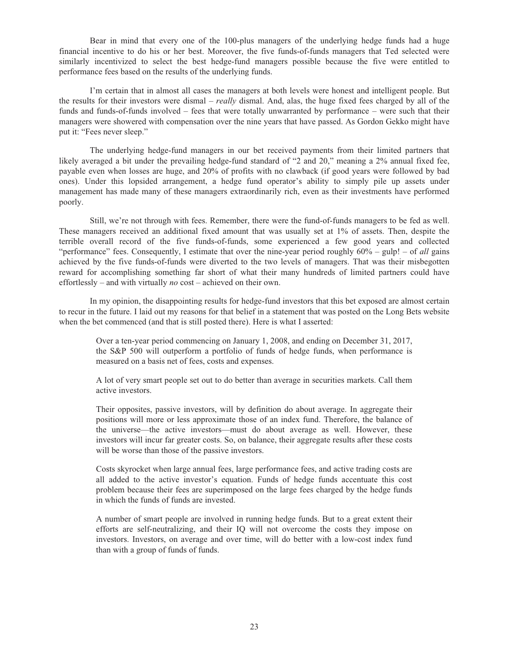Bear in mind that every one of the 100-plus managers of the underlying hedge funds had a huge financial incentive to do his or her best. Moreover, the five funds-of-funds managers that Ted selected were similarly incentivized to select the best hedge-fund managers possible because the five were entitled to performance fees based on the results of the underlying funds.

I'm certain that in almost all cases the managers at both levels were honest and intelligent people. But the results for their investors were dismal – *really* dismal. And, alas, the huge fixed fees charged by all of the funds and funds-of-funds involved – fees that were totally unwarranted by performance – were such that their managers were showered with compensation over the nine years that have passed. As Gordon Gekko might have put it: "Fees never sleep."

The underlying hedge-fund managers in our bet received payments from their limited partners that likely averaged a bit under the prevailing hedge-fund standard of "2 and 20," meaning a 2% annual fixed fee, payable even when losses are huge, and 20% of profits with no clawback (if good years were followed by bad ones). Under this lopsided arrangement, a hedge fund operator's ability to simply pile up assets under management has made many of these managers extraordinarily rich, even as their investments have performed poorly.

Still, we're not through with fees. Remember, there were the fund-of-funds managers to be fed as well. These managers received an additional fixed amount that was usually set at 1% of assets. Then, despite the terrible overall record of the five funds-of-funds, some experienced a few good years and collected "performance" fees. Consequently, I estimate that over the nine-year period roughly 60% – gulp! – of *all* gains achieved by the five funds-of-funds were diverted to the two levels of managers. That was their misbegotten reward for accomplishing something far short of what their many hundreds of limited partners could have effortlessly – and with virtually *no* cost – achieved on their own.

In my opinion, the disappointing results for hedge-fund investors that this bet exposed are almost certain to recur in the future. I laid out my reasons for that belief in a statement that was posted on the Long Bets website when the bet commenced (and that is still posted there). Here is what I asserted:

Over a ten-year period commencing on January 1, 2008, and ending on December 31, 2017, the S&P 500 will outperform a portfolio of funds of hedge funds, when performance is measured on a basis net of fees, costs and expenses.

A lot of very smart people set out to do better than average in securities markets. Call them active investors.

Their opposites, passive investors, will by definition do about average. In aggregate their positions will more or less approximate those of an index fund. Therefore, the balance of the universe—the active investors—must do about average as well. However, these investors will incur far greater costs. So, on balance, their aggregate results after these costs will be worse than those of the passive investors.

Costs skyrocket when large annual fees, large performance fees, and active trading costs are all added to the active investor's equation. Funds of hedge funds accentuate this cost problem because their fees are superimposed on the large fees charged by the hedge funds in which the funds of funds are invested.

A number of smart people are involved in running hedge funds. But to a great extent their efforts are self-neutralizing, and their IQ will not overcome the costs they impose on investors. Investors, on average and over time, will do better with a low-cost index fund than with a group of funds of funds.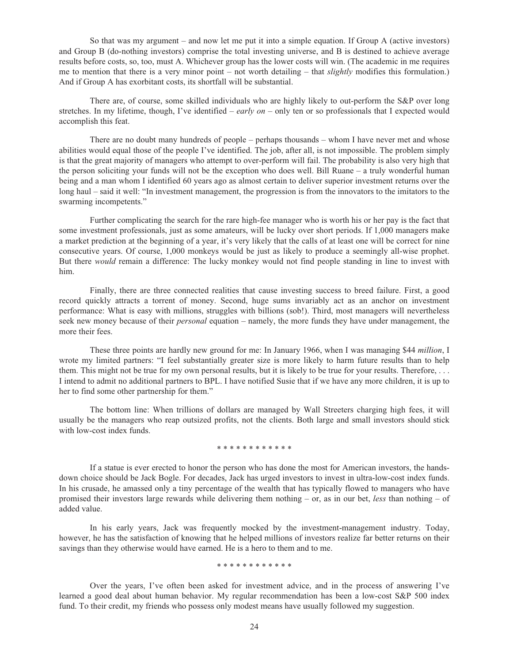So that was my argument – and now let me put it into a simple equation. If Group A (active investors) and Group B (do-nothing investors) comprise the total investing universe, and B is destined to achieve average results before costs, so, too, must A. Whichever group has the lower costs will win. (The academic in me requires me to mention that there is a very minor point – not worth detailing – that *slightly* modifies this formulation.) And if Group A has exorbitant costs, its shortfall will be substantial.

There are, of course, some skilled individuals who are highly likely to out-perform the S&P over long stretches. In my lifetime, though, I've identified *– early on* – only ten or so professionals that I expected would accomplish this feat.

There are no doubt many hundreds of people – perhaps thousands – whom I have never met and whose abilities would equal those of the people I've identified. The job, after all, is not impossible. The problem simply is that the great majority of managers who attempt to over-perform will fail. The probability is also very high that the person soliciting your funds will not be the exception who does well. Bill Ruane – a truly wonderful human being and a man whom I identified 60 years ago as almost certain to deliver superior investment returns over the long haul – said it well: "In investment management, the progression is from the innovators to the imitators to the swarming incompetents."

Further complicating the search for the rare high-fee manager who is worth his or her pay is the fact that some investment professionals, just as some amateurs, will be lucky over short periods. If 1,000 managers make a market prediction at the beginning of a year, it's very likely that the calls of at least one will be correct for nine consecutive years. Of course, 1,000 monkeys would be just as likely to produce a seemingly all-wise prophet. But there *would* remain a difference: The lucky monkey would not find people standing in line to invest with him.

Finally, there are three connected realities that cause investing success to breed failure. First, a good record quickly attracts a torrent of money. Second, huge sums invariably act as an anchor on investment performance: What is easy with millions, struggles with billions (sob!). Third, most managers will nevertheless seek new money because of their *personal* equation – namely, the more funds they have under management, the more their fees.

These three points are hardly new ground for me: In January 1966, when I was managing \$44 *million*, I wrote my limited partners: "I feel substantially greater size is more likely to harm future results than to help them. This might not be true for my own personal results, but it is likely to be true for your results. Therefore, ... I intend to admit no additional partners to BPL. I have notified Susie that if we have any more children, it is up to her to find some other partnership for them."

The bottom line: When trillions of dollars are managed by Wall Streeters charging high fees, it will usually be the managers who reap outsized profits, not the clients. Both large and small investors should stick with low-cost index funds.

#### \*\*\*\*\*\*\*\*\*\*\*\*

If a statue is ever erected to honor the person who has done the most for American investors, the handsdown choice should be Jack Bogle. For decades, Jack has urged investors to invest in ultra-low-cost index funds. In his crusade, he amassed only a tiny percentage of the wealth that has typically flowed to managers who have promised their investors large rewards while delivering them nothing – or, as in our bet, *less* than nothing – of added value.

In his early years, Jack was frequently mocked by the investment-management industry. Today, however, he has the satisfaction of knowing that he helped millions of investors realize far better returns on their savings than they otherwise would have earned. He is a hero to them and to me.

\*\*\*\*\*\*\*\*\*\*\*\*

Over the years, I've often been asked for investment advice, and in the process of answering I've learned a good deal about human behavior. My regular recommendation has been a low-cost S&P 500 index fund. To their credit, my friends who possess only modest means have usually followed my suggestion.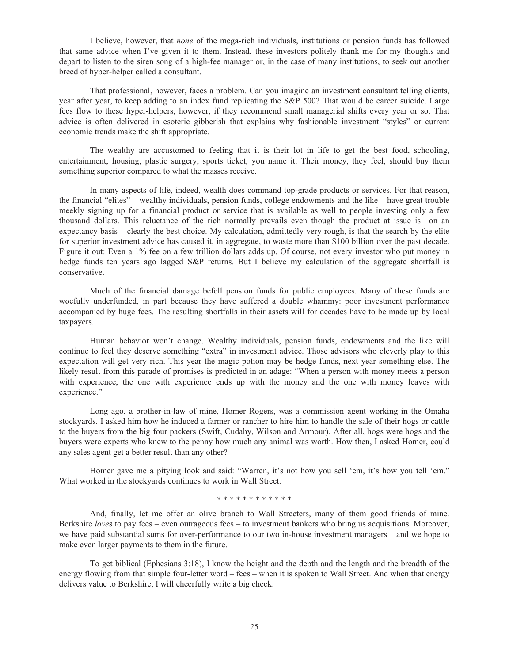I believe, however, that *none* of the mega-rich individuals, institutions or pension funds has followed that same advice when I've given it to them. Instead, these investors politely thank me for my thoughts and depart to listen to the siren song of a high-fee manager or, in the case of many institutions, to seek out another breed of hyper-helper called a consultant.

That professional, however, faces a problem. Can you imagine an investment consultant telling clients, year after year, to keep adding to an index fund replicating the S&P 500? That would be career suicide. Large fees flow to these hyper-helpers, however, if they recommend small managerial shifts every year or so. That advice is often delivered in esoteric gibberish that explains why fashionable investment "styles" or current economic trends make the shift appropriate.

The wealthy are accustomed to feeling that it is their lot in life to get the best food, schooling, entertainment, housing, plastic surgery, sports ticket, you name it. Their money, they feel, should buy them something superior compared to what the masses receive.

In many aspects of life, indeed, wealth does command top-grade products or services. For that reason, the financial "elites" – wealthy individuals, pension funds, college endowments and the like – have great trouble meekly signing up for a financial product or service that is available as well to people investing only a few thousand dollars. This reluctance of the rich normally prevails even though the product at issue is –on an expectancy basis – clearly the best choice. My calculation, admittedly very rough, is that the search by the elite for superior investment advice has caused it, in aggregate, to waste more than \$100 billion over the past decade. Figure it out: Even a 1% fee on a few trillion dollars adds up. Of course, not every investor who put money in hedge funds ten years ago lagged S&P returns. But I believe my calculation of the aggregate shortfall is conservative.

Much of the financial damage befell pension funds for public employees. Many of these funds are woefully underfunded, in part because they have suffered a double whammy: poor investment performance accompanied by huge fees. The resulting shortfalls in their assets will for decades have to be made up by local taxpayers.

Human behavior won't change. Wealthy individuals, pension funds, endowments and the like will continue to feel they deserve something "extra" in investment advice. Those advisors who cleverly play to this expectation will get very rich. This year the magic potion may be hedge funds, next year something else. The likely result from this parade of promises is predicted in an adage: "When a person with money meets a person with experience, the one with experience ends up with the money and the one with money leaves with experience."

Long ago, a brother-in-law of mine, Homer Rogers, was a commission agent working in the Omaha stockyards. I asked him how he induced a farmer or rancher to hire him to handle the sale of their hogs or cattle to the buyers from the big four packers (Swift, Cudahy, Wilson and Armour). After all, hogs were hogs and the buyers were experts who knew to the penny how much any animal was worth. How then, I asked Homer, could any sales agent get a better result than any other?

Homer gave me a pitying look and said: "Warren, it's not how you sell 'em, it's how you tell 'em." What worked in the stockyards continues to work in Wall Street.

### \*\*\*\*\*\*\*\*\*\*

And, finally, let me offer an olive branch to Wall Streeters, many of them good friends of mine. Berkshire *love*s to pay fees – even outrageous fees – to investment bankers who bring us acquisitions. Moreover, we have paid substantial sums for over-performance to our two in-house investment managers – and we hope to make even larger payments to them in the future.

To get biblical (Ephesians 3:18), I know the height and the depth and the length and the breadth of the energy flowing from that simple four-letter word – fees – when it is spoken to Wall Street. And when that energy delivers value to Berkshire, I will cheerfully write a big check.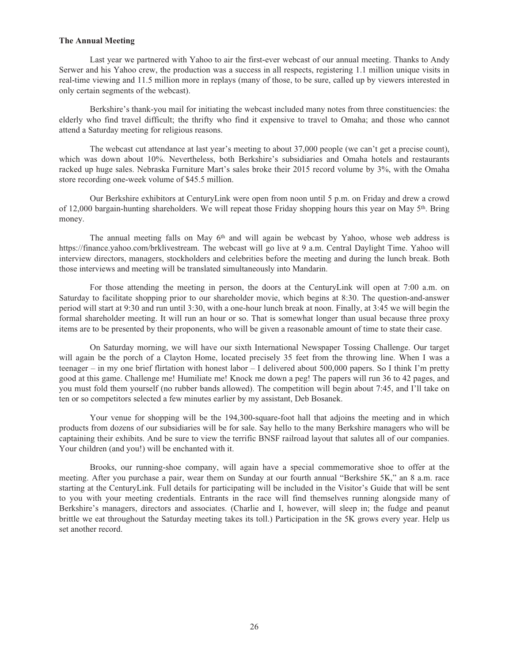## **The Annual Meeting**

Last year we partnered with Yahoo to air the first-ever webcast of our annual meeting. Thanks to Andy Serwer and his Yahoo crew, the production was a success in all respects, registering 1.1 million unique visits in real-time viewing and 11.5 million more in replays (many of those, to be sure, called up by viewers interested in only certain segments of the webcast).

Berkshire's thank-you mail for initiating the webcast included many notes from three constituencies: the elderly who find travel difficult; the thrifty who find it expensive to travel to Omaha; and those who cannot attend a Saturday meeting for religious reasons.

The webcast cut attendance at last year's meeting to about 37,000 people (we can't get a precise count), which was down about 10%. Nevertheless, both Berkshire's subsidiaries and Omaha hotels and restaurants racked up huge sales. Nebraska Furniture Mart's sales broke their 2015 record volume by 3%, with the Omaha store recording one-week volume of \$45.5 million.

Our Berkshire exhibitors at CenturyLink were open from noon until 5 p.m. on Friday and drew a crowd of 12,000 bargain-hunting shareholders. We will repeat those Friday shopping hours this year on May 5th. Bring money.

The annual meeting falls on May 6<sup>th</sup> and will again be webcast by Yahoo, whose web address is https://finance.yahoo.com/brklivestream. The webcast will go live at 9 a.m. Central Daylight Time. Yahoo will interview directors, managers, stockholders and celebrities before the meeting and during the lunch break. Both those interviews and meeting will be translated simultaneously into Mandarin.

For those attending the meeting in person, the doors at the CenturyLink will open at 7:00 a.m. on Saturday to facilitate shopping prior to our shareholder movie, which begins at 8:30. The question-and-answer period will start at 9:30 and run until 3:30, with a one-hour lunch break at noon. Finally, at 3:45 we will begin the formal shareholder meeting. It will run an hour or so. That is somewhat longer than usual because three proxy items are to be presented by their proponents, who will be given a reasonable amount of time to state their case.

On Saturday morning, we will have our sixth International Newspaper Tossing Challenge. Our target will again be the porch of a Clayton Home, located precisely 35 feet from the throwing line. When I was a teenager – in my one brief flirtation with honest labor – I delivered about 500,000 papers. So I think I'm pretty good at this game. Challenge me! Humiliate me! Knock me down a peg! The papers will run 36 to 42 pages, and you must fold them yourself (no rubber bands allowed). The competition will begin about 7:45, and I'll take on ten or so competitors selected a few minutes earlier by my assistant, Deb Bosanek.

Your venue for shopping will be the 194,300-square-foot hall that adjoins the meeting and in which products from dozens of our subsidiaries will be for sale. Say hello to the many Berkshire managers who will be captaining their exhibits. And be sure to view the terrific BNSF railroad layout that salutes all of our companies. Your children (and you!) will be enchanted with it.

Brooks, our running-shoe company, will again have a special commemorative shoe to offer at the meeting. After you purchase a pair, wear them on Sunday at our fourth annual "Berkshire 5K," an 8 a.m. race starting at the CenturyLink. Full details for participating will be included in the Visitor's Guide that will be sent to you with your meeting credentials. Entrants in the race will find themselves running alongside many of Berkshire's managers, directors and associates. (Charlie and I, however, will sleep in; the fudge and peanut brittle we eat throughout the Saturday meeting takes its toll.) Participation in the 5K grows every year. Help us set another record.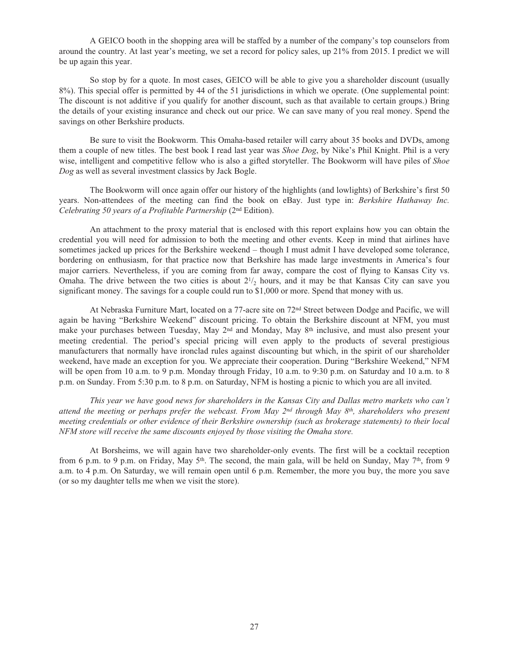A GEICO booth in the shopping area will be staffed by a number of the company's top counselors from around the country. At last year's meeting, we set a record for policy sales, up 21% from 2015. I predict we will be up again this year.

So stop by for a quote. In most cases, GEICO will be able to give you a shareholder discount (usually 8%). This special offer is permitted by 44 of the 51 jurisdictions in which we operate. (One supplemental point: The discount is not additive if you qualify for another discount, such as that available to certain groups.) Bring the details of your existing insurance and check out our price. We can save many of you real money. Spend the savings on other Berkshire products.

Be sure to visit the Bookworm. This Omaha-based retailer will carry about 35 books and DVDs, among them a couple of new titles. The best book I read last year was *Shoe Dog*, by Nike's Phil Knight. Phil is a very wise, intelligent and competitive fellow who is also a gifted storyteller. The Bookworm will have piles of *Shoe Dog* as well as several investment classics by Jack Bogle.

The Bookworm will once again offer our history of the highlights (and lowlights) of Berkshire's first 50 years. Non-attendees of the meeting can find the book on eBay. Just type in: *Berkshire Hathaway Inc. Celebrating 50 years of a Profitable Partnership* (2nd Edition).

An attachment to the proxy material that is enclosed with this report explains how you can obtain the credential you will need for admission to both the meeting and other events. Keep in mind that airlines have sometimes jacked up prices for the Berkshire weekend – though I must admit I have developed some tolerance, bordering on enthusiasm, for that practice now that Berkshire has made large investments in America's four major carriers. Nevertheless, if you are coming from far away, compare the cost of flying to Kansas City vs. Omaha. The drive between the two cities is about  $2^{1/2}$  hours, and it may be that Kansas City can save you significant money. The savings for a couple could run to \$1,000 or more. Spend that money with us.

At Nebraska Furniture Mart, located on a 77-acre site on 72nd Street between Dodge and Pacific, we will again be having "Berkshire Weekend" discount pricing. To obtain the Berkshire discount at NFM, you must make your purchases between Tuesday, May 2nd and Monday, May 8th inclusive, and must also present your meeting credential. The period's special pricing will even apply to the products of several prestigious manufacturers that normally have ironclad rules against discounting but which, in the spirit of our shareholder weekend, have made an exception for you. We appreciate their cooperation. During "Berkshire Weekend," NFM will be open from 10 a.m. to 9 p.m. Monday through Friday, 10 a.m. to 9:30 p.m. on Saturday and 10 a.m. to 8 p.m. on Sunday. From 5:30 p.m. to 8 p.m. on Saturday, NFM is hosting a picnic to which you are all invited.

*This year we have good news for shareholders in the Kansas City and Dallas metro markets who can't attend the meeting or perhaps prefer the webcast. From May 2nd through May 8th, shareholders who present meeting credentials or other evidence of their Berkshire ownership (such as brokerage statements) to their local NFM store will receive the same discounts enjoyed by those visiting the Omaha store.*

At Borsheims, we will again have two shareholder-only events. The first will be a cocktail reception from 6 p.m. to 9 p.m. on Friday, May  $5<sup>th</sup>$ . The second, the main gala, will be held on Sunday, May  $7<sup>th</sup>$ , from 9 a.m. to 4 p.m. On Saturday, we will remain open until 6 p.m. Remember, the more you buy, the more you save (or so my daughter tells me when we visit the store).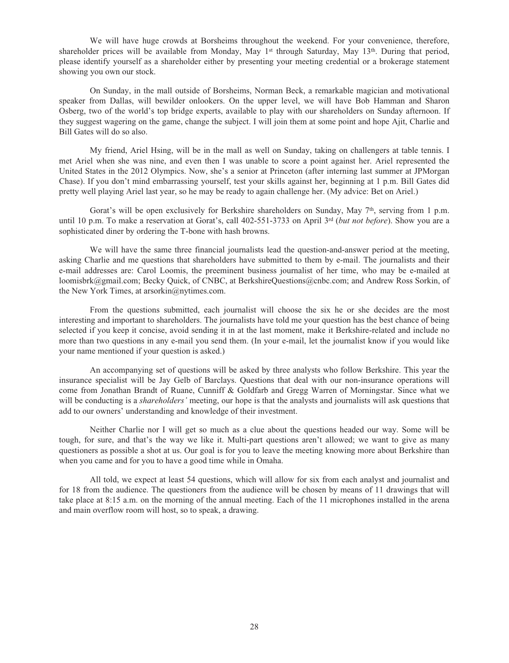We will have huge crowds at Borsheims throughout the weekend. For your convenience, therefore, shareholder prices will be available from Monday, May 1<sup>st</sup> through Saturday, May 13<sup>th</sup>. During that period, please identify yourself as a shareholder either by presenting your meeting credential or a brokerage statement showing you own our stock.

On Sunday, in the mall outside of Borsheims, Norman Beck, a remarkable magician and motivational speaker from Dallas, will bewilder onlookers. On the upper level, we will have Bob Hamman and Sharon Osberg, two of the world's top bridge experts, available to play with our shareholders on Sunday afternoon. If they suggest wagering on the game, change the subject. I will join them at some point and hope Ajit, Charlie and Bill Gates will do so also.

My friend, Ariel Hsing, will be in the mall as well on Sunday, taking on challengers at table tennis. I met Ariel when she was nine, and even then I was unable to score a point against her. Ariel represented the United States in the 2012 Olympics. Now, she's a senior at Princeton (after interning last summer at JPMorgan Chase). If you don't mind embarrassing yourself, test your skills against her, beginning at 1 p.m. Bill Gates did pretty well playing Ariel last year, so he may be ready to again challenge her. (My advice: Bet on Ariel.)

Gorat's will be open exclusively for Berkshire shareholders on Sunday, May  $7<sup>th</sup>$ , serving from 1 p.m. until 10 p.m. To make a reservation at Gorat's, call 402-551-3733 on April 3rd (*but not before*). Show you are a sophisticated diner by ordering the T-bone with hash browns.

We will have the same three financial journalists lead the question-and-answer period at the meeting, asking Charlie and me questions that shareholders have submitted to them by e-mail. The journalists and their e-mail addresses are: Carol Loomis, the preeminent business journalist of her time, who may be e-mailed at loomisbrk@gmail.com; Becky Quick, of CNBC, at BerkshireQuestions@cnbc.com; and Andrew Ross Sorkin, of the New York Times, at arsorkin@nytimes.com.

From the questions submitted, each journalist will choose the six he or she decides are the most interesting and important to shareholders. The journalists have told me your question has the best chance of being selected if you keep it concise, avoid sending it in at the last moment, make it Berkshire-related and include no more than two questions in any e-mail you send them. (In your e-mail, let the journalist know if you would like your name mentioned if your question is asked.)

An accompanying set of questions will be asked by three analysts who follow Berkshire. This year the insurance specialist will be Jay Gelb of Barclays. Questions that deal with our non-insurance operations will come from Jonathan Brandt of Ruane, Cunniff & Goldfarb and Gregg Warren of Morningstar. Since what we will be conducting is a *shareholders'* meeting, our hope is that the analysts and journalists will ask questions that add to our owners' understanding and knowledge of their investment.

Neither Charlie nor I will get so much as a clue about the questions headed our way. Some will be tough, for sure, and that's the way we like it. Multi-part questions aren't allowed; we want to give as many questioners as possible a shot at us. Our goal is for you to leave the meeting knowing more about Berkshire than when you came and for you to have a good time while in Omaha.

All told, we expect at least 54 questions, which will allow for six from each analyst and journalist and for 18 from the audience. The questioners from the audience will be chosen by means of 11 drawings that will take place at 8:15 a.m. on the morning of the annual meeting. Each of the 11 microphones installed in the arena and main overflow room will host, so to speak, a drawing.